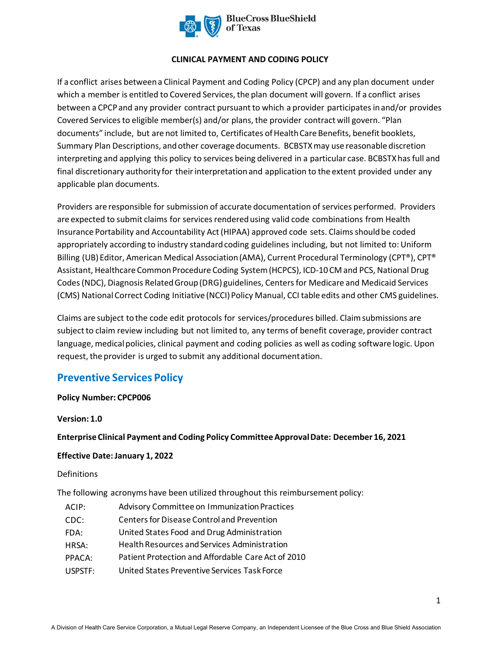

## **CLINICAL PAYMENT AND CODING POLICY**

If a conflict arises between a Clinical Payment and Coding Policy (CPCP) and any plan document under which a member is entitled to Covered Services, the plan document will govern. If a conflict arises between a CPCP and any provider contract pursuant to which a provider participates in and/or provides Covered Services to eligible member(s) and/or plans, the provider contract will govern. "Plan documents" include, but are not limited to, Certificates of Health Care Benefits, benefit booklets, Summary Plan Descriptions, and other coverage documents. BCBSTXmay use reasonable discretion interpreting and applying this policy to services being delivered in a particular case. BCBSTXhas full and final discretionary authority for their interpretation and application to the extent provided under any applicable plan documents.

Providers are responsible for submission of accurate documentation of services performed. Providers are expected to submit claims for services rendered using valid code combinations from Health Insurance Portability and Accountability Act (HIPAA) approved code sets. Claims should be coded appropriately according to industry standard coding guidelines including, but not limited to: Uniform Billing (UB) Editor, American Medical Association (AMA), Current Procedural Terminology (CPT®), CPT® Assistant, Healthcare Common Procedure Coding System (HCPCS), ICD-10 CM and PCS, National Drug Codes (NDC), Diagnosis Related Group (DRG) guidelines, Centers for Medicare and Medicaid Services (CMS) National Correct Coding Initiative (NCCI) Policy Manual, CCI table edits and other CMS guidelines.

Claims are subject to the code edit protocols for services/procedures billed. Claim submissions are subject to claim review including but not limited to, any terms of benefit coverage, provider contract language, medical policies, clinical payment and coding policies as well as coding software logic. Upon request, the provider is urged to submit any additional documentation.

# **Preventive Services Policy**

## **Policy Number: CPCP006**

**Version: 1.0** 

**Enterprise Clinical Payment and Coding Policy Committee Approval Date: December 16, 2021** 

## **Effective Date: January 1, 2022**

## Definitions

The following acronyms have been utilized throughout this reimbursement policy:

| ACIP:   | Advisory Committee on Immunization Practices       |
|---------|----------------------------------------------------|
| CDC:    | <b>Centers for Disease Control and Prevention</b>  |
| FDA:    | United States Food and Drug Administration         |
| HRSA:   | Health Resources and Services Administration       |
| PPACA:  | Patient Protection and Affordable Care Act of 2010 |
| USPSTF: | United States Preventive Services Task Force       |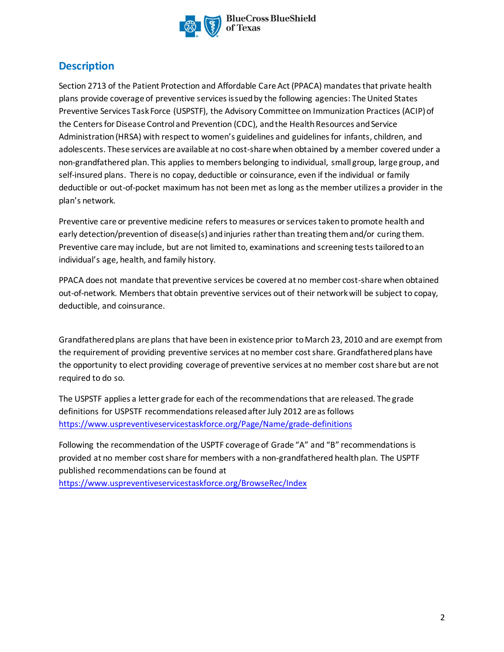

# **Description**

Section 2713 of the Patient Protection and Affordable Care Act (PPACA) mandates that private health plans provide coverage of preventive services issued by the following agencies: The United States Preventive Services Task Force (USPSTF), the Advisory Committee on Immunization Practices (ACIP) of the Centers for Disease Control and Prevention (CDC), and the Health Resources and Service Administration (HRSA) with respect to women's guidelines and guidelines for infants, children, and adolescents. These services are available at no cost-share when obtained by a member covered under a non-grandfathered plan. This applies to members belonging to individual, small group, large group, and self-insured plans. There is no copay, deductible or coinsurance, even if the individual or family deductible or out-of-pocket maximum has not been met as long as the member utilizes a provider in the plan's network.

Preventive care or preventive medicine refers to measures or services taken to promote health and early detection/prevention of disease(s) andinjuries ratherthan treating themand/or curing them. Preventive care may include, but are not limited to, examinations and screening tests tailored to an individual's age, health, and family history.

PPACA does not mandate that preventive services be covered at no member cost-share when obtained out-of-network. Membersthat obtain preventive services out of their networkwill be subject to copay, deductible, and coinsurance.

Grandfathered plans are plans that have been in existence prior to March 23, 2010 and are exempt from the requirement of providing preventive services at no member cost share. Grandfathered plans have the opportunity to elect providing coverage of preventive services at no member cost share but are not required to do so.

The USPSTF applies a letter grade for each of the recommendations that are released. The grade definitions for USPSTF recommendations released after July 2012 are as follows https://www.uspreventiveservicestaskforce.org/Page/Name/grade-definitions

[Following the recommendation of the USPTF coverage of Grade "A" and "B" rec](https://www.uspreventiveservicestaskforce.org/Page/Name/grade-definitions)ommendations is provided at no member cost share for members with a non-grandfathered health plan. The USPTF published recommendations can be found at

https://www.uspreventiveservicestaskforce.org/BrowseRec/Index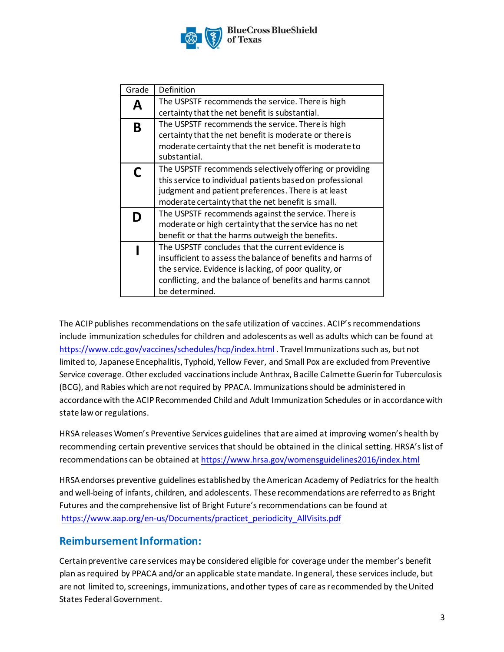

**BlueCross BlueShield** of Texas

| Grade | Definition                                                  |
|-------|-------------------------------------------------------------|
| Δ     | The USPSTF recommends the service. There is high            |
|       | certainty that the net benefit is substantial.              |
| B     | The USPSTF recommends the service. There is high            |
|       | certainty that the net benefit is moderate or there is      |
|       | moderate certainty that the net benefit is moderate to      |
|       | substantial.                                                |
|       | The USPSTF recommends selectively offering or providing     |
|       | this service to individual patients based on professional   |
|       | judgment and patient preferences. There is at least         |
|       | moderate certainty that the net benefit is small.           |
|       | The USPSTF recommends against the service. There is         |
|       | moderate or high certainty that the service has no net      |
|       | benefit or that the harms outweigh the benefits.            |
|       | The USPSTF concludes that the current evidence is           |
|       | insufficient to assess the balance of benefits and harms of |
|       | the service. Evidence is lacking, of poor quality, or       |
|       | conflicting, and the balance of benefits and harms cannot   |
|       | be determined.                                              |

[The ACIP publishes recommendations on the safe utilizatio](https://www.cdc.gov/vaccines/schedules/hcp/index.html)n of vaccines. ACIP's recommendations include immunization schedules for children and adolescents as well as adults which can be found at https://www.cdc.gov/vaccines/schedules/hcp/index.html . Travel Immunizations such as, but not limited to, Japanese Encephalitis, Typhoid, Yellow Fever, and Small Pox are excluded from Preventive Service coverage. Other excluded vaccinations include Anthrax, Bacille Calmette Guerin for Tuberculosis (BCG), and Rabies which are not required by PPACA. Immunizations should be administered in accordance with the ACIP Recommended Child and Adult Immunization Schedules or in accordance with state law or regulations.

HRSAreleases Women's Preventive Services guidelines that are aimed at improving women's health by recommending certain preventive se[rvices that should be obtained in the clinical setting. HRSA'](https://www.hrsa.gov/womensguidelines2016/index.html)s list of recommendations can be obtained at https://www.hrsa.gov/womensguidelines2016/index.html

HRSA endorses preventive guidelines established by the American Academy of Pediatrics for the health [and well-being of infants, children, and adolescents. These recommendation](https://www.aap.org/en-us/Documents/practicet_periodicity_AllVisits.pdf)s are referred to as Bright Futures and the comprehensive list of Bright Future's recommendations can be found at https://www.aap.org/en-us/Documents/practicet\_periodicity\_AllVisits.pdf

# **Reimbursement Information:**

Certainpreventive care services maybe considered eligible for coverage under the member's benefit plan asrequired by PPACA and/or an applicable state mandate. Ingeneral, these servicesinclude, but are not limited to, screenings, immunizations, and other types of care as recommended by the United States FederalGovernment.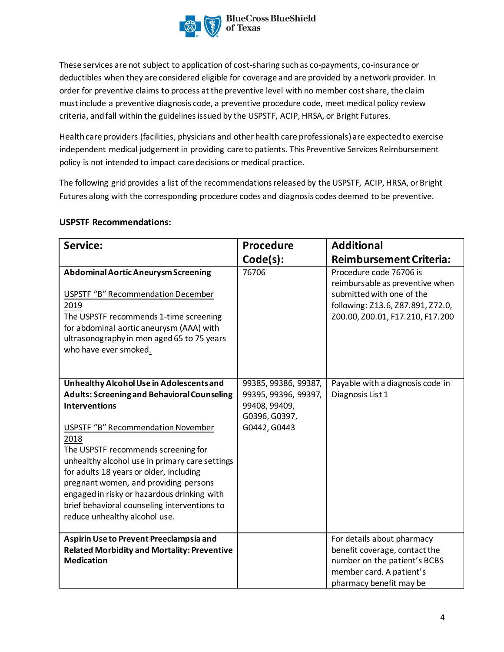

These services are not subject to application of cost-sharing such as co-payments, co-insurance or deductibles when they are considered eligible for coverage and are provided by a network provider. In order for preventive claims to process at the preventive level with no member cost share, the claim must include a preventive diagnosis code, a preventive procedure code, meet medical policy review criteria, and fall within the guidelines issued by the USPSTF, ACIP, HRSA, or Bright Futures.

Health care providers (facilities, physicians and other health care professionals) are expected to exercise independent medical judgement in providing care to patients. This Preventive Services Reimbursement policy is not intended to impact care decisions or medical practice.

The following grid provides a list of the recommendations released by the USPSTF, ACIP, HRSA, or Bright Futures along with the corresponding procedure codes and diagnosis codes deemed to be preventive.

| Service:                                                                                                                                                                                                                                              | Procedure            | <b>Additional</b>                                                                                                                                                |
|-------------------------------------------------------------------------------------------------------------------------------------------------------------------------------------------------------------------------------------------------------|----------------------|------------------------------------------------------------------------------------------------------------------------------------------------------------------|
|                                                                                                                                                                                                                                                       |                      |                                                                                                                                                                  |
|                                                                                                                                                                                                                                                       | Code(s):             | <b>Reimbursement Criteria:</b>                                                                                                                                   |
| Abdominal Aortic Aneurysm Screening<br><b>USPSTF "B" Recommendation December</b><br>2019<br>The USPSTF recommends 1-time screening<br>for abdominal aortic aneurysm (AAA) with<br>ultrasonography in men aged 65 to 75 years<br>who have ever smoked. | 76706                | Procedure code 76706 is<br>reimbursable as preventive when<br>submitted with one of the<br>following: Z13.6, Z87.891, Z72.0,<br>Z00.00, Z00.01, F17.210, F17.200 |
| Unhealthy Alcohol Use in Adolescents and                                                                                                                                                                                                              | 99385, 99386, 99387, | Payable with a diagnosis code in                                                                                                                                 |
| <b>Adults: Screening and Behavioral Counseling</b>                                                                                                                                                                                                    | 99395, 99396, 99397, | Diagnosis List 1                                                                                                                                                 |
| <b>Interventions</b>                                                                                                                                                                                                                                  | 99408, 99409,        |                                                                                                                                                                  |
|                                                                                                                                                                                                                                                       | G0396, G0397,        |                                                                                                                                                                  |
| <b>USPSTF "B" Recommendation November</b>                                                                                                                                                                                                             | G0442, G0443         |                                                                                                                                                                  |
| 2018                                                                                                                                                                                                                                                  |                      |                                                                                                                                                                  |
| The USPSTF recommends screening for                                                                                                                                                                                                                   |                      |                                                                                                                                                                  |
| unhealthy alcohol use in primary care settings                                                                                                                                                                                                        |                      |                                                                                                                                                                  |
|                                                                                                                                                                                                                                                       |                      |                                                                                                                                                                  |
| for adults 18 years or older, including                                                                                                                                                                                                               |                      |                                                                                                                                                                  |
| pregnant women, and providing persons                                                                                                                                                                                                                 |                      |                                                                                                                                                                  |
| engaged in risky or hazardous drinking with                                                                                                                                                                                                           |                      |                                                                                                                                                                  |
| brief behavioral counseling interventions to                                                                                                                                                                                                          |                      |                                                                                                                                                                  |
| reduce unhealthy alcohol use.                                                                                                                                                                                                                         |                      |                                                                                                                                                                  |
|                                                                                                                                                                                                                                                       |                      |                                                                                                                                                                  |
| Aspirin Use to Prevent Preeclampsia and                                                                                                                                                                                                               |                      | For details about pharmacy                                                                                                                                       |
| <b>Related Morbidity and Mortality: Preventive</b>                                                                                                                                                                                                    |                      | benefit coverage, contact the                                                                                                                                    |
| <b>Medication</b>                                                                                                                                                                                                                                     |                      | number on the patient's BCBS                                                                                                                                     |
|                                                                                                                                                                                                                                                       |                      | member card. A patient's                                                                                                                                         |
|                                                                                                                                                                                                                                                       |                      | pharmacy benefit may be                                                                                                                                          |

## **USPSTF Recommendations:**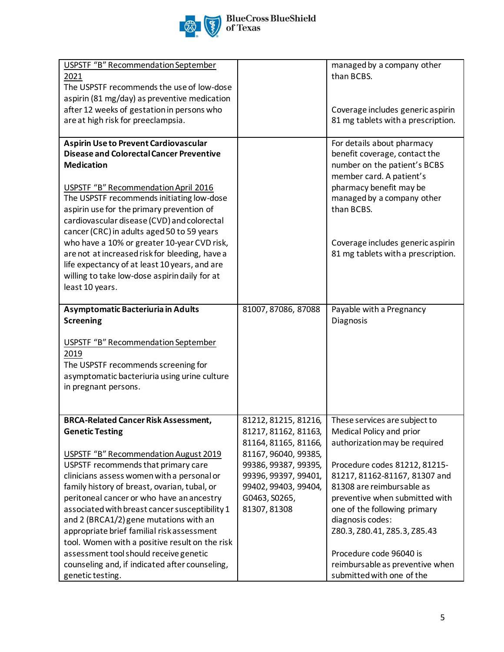

| <b>USPSTF "B" Recommendation September</b>                         |                      | managed by a company other                                   |
|--------------------------------------------------------------------|----------------------|--------------------------------------------------------------|
| 2021                                                               |                      | than BCBS.                                                   |
| The USPSTF recommends the use of low-dose                          |                      |                                                              |
| aspirin (81 mg/day) as preventive medication                       |                      |                                                              |
| after 12 weeks of gestation in persons who                         |                      | Coverage includes generic aspirin                            |
| are at high risk for preeclampsia.                                 |                      | 81 mg tablets with a prescription.                           |
|                                                                    |                      |                                                              |
| <b>Aspirin Use to Prevent Cardiovascular</b>                       |                      | For details about pharmacy                                   |
| <b>Disease and Colorectal Cancer Preventive</b>                    |                      | benefit coverage, contact the                                |
| <b>Medication</b>                                                  |                      | number on the patient's BCBS                                 |
|                                                                    |                      | member card. A patient's                                     |
| <b>USPSTF "B" Recommendation April 2016</b>                        |                      | pharmacy benefit may be                                      |
| The USPSTF recommends initiating low-dose                          |                      | managed by a company other                                   |
| aspirin use for the primary prevention of                          |                      | than BCBS.                                                   |
| cardiovascular disease (CVD) and colorectal                        |                      |                                                              |
| cancer (CRC) in adults aged 50 to 59 years                         |                      |                                                              |
| who have a 10% or greater 10-year CVD risk,                        |                      | Coverage includes generic aspirin                            |
| are not at increased risk for bleeding, have a                     |                      | 81 mg tablets with a prescription.                           |
| life expectancy of at least 10 years, and are                      |                      |                                                              |
| willing to take low-dose aspirin daily for at                      |                      |                                                              |
|                                                                    |                      |                                                              |
| least 10 years.                                                    |                      |                                                              |
|                                                                    |                      |                                                              |
| Asymptomatic Bacteriuria in Adults                                 | 81007, 87086, 87088  | Payable with a Pregnancy                                     |
| <b>Screening</b>                                                   |                      | Diagnosis                                                    |
|                                                                    |                      |                                                              |
| <b>USPSTF "B" Recommendation September</b>                         |                      |                                                              |
| 2019                                                               |                      |                                                              |
| The USPSTF recommends screening for                                |                      |                                                              |
| asymptomatic bacteriuria using urine culture                       |                      |                                                              |
| in pregnant persons.                                               |                      |                                                              |
|                                                                    |                      |                                                              |
| <b>BRCA-Related Cancer Risk Assessment,</b>                        | 81212, 81215, 81216, | These services are subject to                                |
| <b>Genetic Testing</b>                                             | 81217, 81162, 81163, | Medical Policy and prior                                     |
|                                                                    | 81164, 81165, 81166, | authorization may be required                                |
| USPSTF "B" Recommendation August 2019                              | 81167, 96040, 99385, |                                                              |
| USPSTF recommends that primary care                                | 99386, 99387, 99395, | Procedure codes 81212, 81215-                                |
| clinicians assess women with a personal or                         | 99396, 99397, 99401, | 81217, 81162-81167, 81307 and                                |
| family history of breast, ovarian, tubal, or                       | 99402, 99403, 99404, | 81308 are reimbursable as                                    |
|                                                                    |                      |                                                              |
| peritoneal cancer or who have an ancestry                          | G0463, S0265,        | preventive when submitted with                               |
| associated with breast cancer susceptibility 1                     | 81307, 81308         | one of the following primary<br>diagnosis codes:             |
| and 2 (BRCA1/2) gene mutations with an                             |                      |                                                              |
| appropriate brief familial risk assessment                         |                      | Z80.3, Z80.41, Z85.3, Z85.43                                 |
| tool. Women with a positive result on the risk                     |                      |                                                              |
|                                                                    |                      |                                                              |
| assessment tool should receive genetic                             |                      | Procedure code 96040 is                                      |
| counseling and, if indicated after counseling,<br>genetic testing. |                      | reimbursable as preventive when<br>submitted with one of the |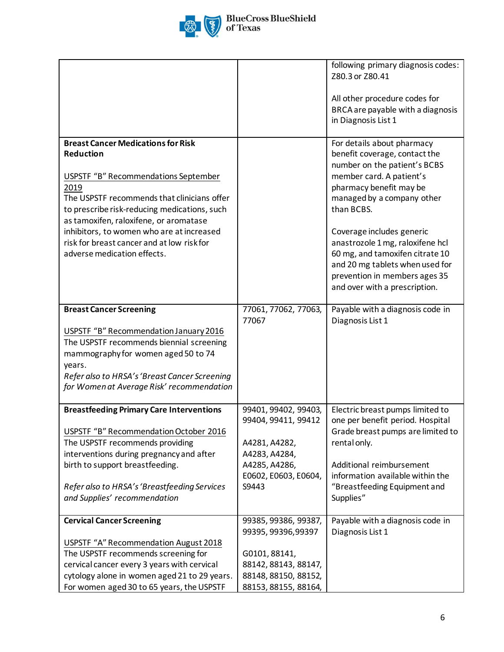

|                                                                                                                                                                                                                                                                                                                                                                                  |                                                                                                                                      | following primary diagnosis codes:<br>Z80.3 or Z80.41<br>All other procedure codes for<br>BRCA are payable with a diagnosis<br>in Diagnosis List 1                                                                                                                                                                                                                                                      |
|----------------------------------------------------------------------------------------------------------------------------------------------------------------------------------------------------------------------------------------------------------------------------------------------------------------------------------------------------------------------------------|--------------------------------------------------------------------------------------------------------------------------------------|---------------------------------------------------------------------------------------------------------------------------------------------------------------------------------------------------------------------------------------------------------------------------------------------------------------------------------------------------------------------------------------------------------|
| <b>Breast Cancer Medications for Risk</b><br><b>Reduction</b><br>USPSTF "B" Recommendations September<br>2019<br>The USPSTF recommends that clinicians offer<br>to prescribe risk-reducing medications, such<br>as tamoxifen, raloxifene, or aromatase<br>inhibitors, to women who are at increased<br>risk for breast cancer and at low risk for<br>adverse medication effects. |                                                                                                                                      | For details about pharmacy<br>benefit coverage, contact the<br>number on the patient's BCBS<br>member card. A patient's<br>pharmacy benefit may be<br>managed by a company other<br>than BCBS.<br>Coverage includes generic<br>anastrozole 1 mg, raloxifene hcl<br>60 mg, and tamoxifen citrate 10<br>and 20 mg tablets when used for<br>prevention in members ages 35<br>and over with a prescription. |
| <b>Breast Cancer Screening</b><br>USPSTF "B" Recommendation January 2016<br>The USPSTF recommends biennial screening<br>mammography for women aged 50 to 74<br>years.<br>Refer also to HRSA's 'Breast Cancer Screening<br>for Women at Average Risk' recommendation                                                                                                              | 77061, 77062, 77063,<br>77067                                                                                                        | Payable with a diagnosis code in<br>Diagnosis List 1                                                                                                                                                                                                                                                                                                                                                    |
| <b>Breastfeeding Primary Care Interventions</b><br>USPSTF "B" Recommendation October 2016<br>The USPSTF recommends providing<br>interventions during pregnancy and after<br>birth to support breastfeeding.<br>Refer also to HRSA's 'Breastfeeding Services<br>and Supplies' recommendation                                                                                      | 99401, 99402, 99403,<br>99404, 99411, 99412<br>A4281, A4282,<br>A4283, A4284,<br>A4285, A4286,<br>E0602, E0603, E0604,<br>S9443      | Electric breast pumps limited to<br>one per benefit period. Hospital<br>Grade breast pumps are limited to<br>rental only.<br>Additional reimbursement<br>information available within the<br>"Breastfeeding Equipment and<br>Supplies"                                                                                                                                                                  |
| <b>Cervical Cancer Screening</b><br>USPSTF "A" Recommendation August 2018<br>The USPSTF recommends screening for<br>cervical cancer every 3 years with cervical<br>cytology alone in women aged 21 to 29 years.<br>For women aged 30 to 65 years, the USPSTF                                                                                                                     | 99385, 99386, 99387,<br>99395, 99396, 99397<br>G0101, 88141,<br>88142, 88143, 88147,<br>88148, 88150, 88152,<br>88153, 88155, 88164, | Payable with a diagnosis code in<br>Diagnosis List 1                                                                                                                                                                                                                                                                                                                                                    |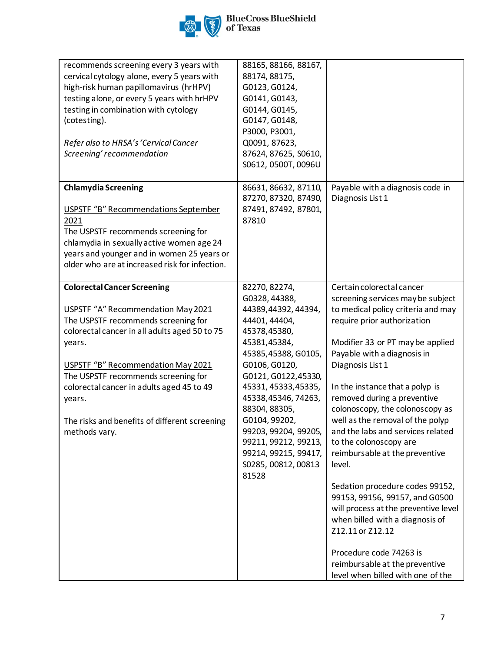

| recommends screening every 3 years with<br>cervical cytology alone, every 5 years with<br>high-risk human papillomavirus (hrHPV)<br>testing alone, or every 5 years with hrHPV<br>testing in combination with cytology<br>(cotesting).<br>Refer also to HRSA's 'Cervical Cancer<br>Screening' recommendation                                                                     | 88165, 88166, 88167,<br>88174, 88175,<br>G0123, G0124,<br>G0141, G0143,<br>G0144, G0145,<br>G0147, G0148,<br>P3000, P3001,<br>Q0091, 87623,<br>87624, 87625, S0610,<br>S0612, 0500T, 0096U                                                                                                                                                                    |                                                                                                                                                                                                                                                                                                                                                                                                                                                                                                                                                                                                                                                                                                                                                      |
|----------------------------------------------------------------------------------------------------------------------------------------------------------------------------------------------------------------------------------------------------------------------------------------------------------------------------------------------------------------------------------|---------------------------------------------------------------------------------------------------------------------------------------------------------------------------------------------------------------------------------------------------------------------------------------------------------------------------------------------------------------|------------------------------------------------------------------------------------------------------------------------------------------------------------------------------------------------------------------------------------------------------------------------------------------------------------------------------------------------------------------------------------------------------------------------------------------------------------------------------------------------------------------------------------------------------------------------------------------------------------------------------------------------------------------------------------------------------------------------------------------------------|
| <b>Chlamydia Screening</b><br><b>USPSTF "B" Recommendations September</b><br>2021<br>The USPSTF recommends screening for<br>chlamydia in sexually active women age 24<br>years and younger and in women 25 years or<br>older who are at increased risk for infection.                                                                                                            | 86631, 86632, 87110,<br>87270, 87320, 87490,<br>87491, 87492, 87801,<br>87810                                                                                                                                                                                                                                                                                 | Payable with a diagnosis code in<br>Diagnosis List 1                                                                                                                                                                                                                                                                                                                                                                                                                                                                                                                                                                                                                                                                                                 |
| <b>Colorectal Cancer Screening</b><br>USPSTF "A" Recommendation May 2021<br>The USPSTF recommends screening for<br>colorectal cancer in all adults aged 50 to 75<br>years.<br>USPSTF "B" Recommendation May 2021<br>The USPSTF recommends screening for<br>colorectal cancer in adults aged 45 to 49<br>years.<br>The risks and benefits of different screening<br>methods vary. | 82270, 82274,<br>G0328, 44388,<br>44389,44392,44394,<br>44401, 44404,<br>45378,45380,<br>45381,45384,<br>45385,45388, G0105,<br>G0106, G0120,<br>G0121, G0122, 45330,<br>45331, 45333, 45335,<br>45338,45346,74263,<br>88304, 88305,<br>G0104, 99202,<br>99203, 99204, 99205,<br>99211, 99212, 99213,<br>99214, 99215, 99417,<br>S0285, 00812, 00813<br>81528 | Certain colorectal cancer<br>screening services may be subject<br>to medical policy criteria and may<br>require prior authorization<br>Modifier 33 or PT may be applied<br>Payable with a diagnosis in<br>Diagnosis List 1<br>In the instance that a polyp is<br>removed during a preventive<br>colonoscopy, the colonoscopy as<br>well as the removal of the polyp<br>and the labs and services related<br>to the colonoscopy are<br>reimbursable at the preventive<br>level.<br>Sedation procedure codes 99152,<br>99153, 99156, 99157, and G0500<br>will process at the preventive level<br>when billed with a diagnosis of<br>Z12.11 or Z12.12<br>Procedure code 74263 is<br>reimbursable at the preventive<br>level when billed with one of the |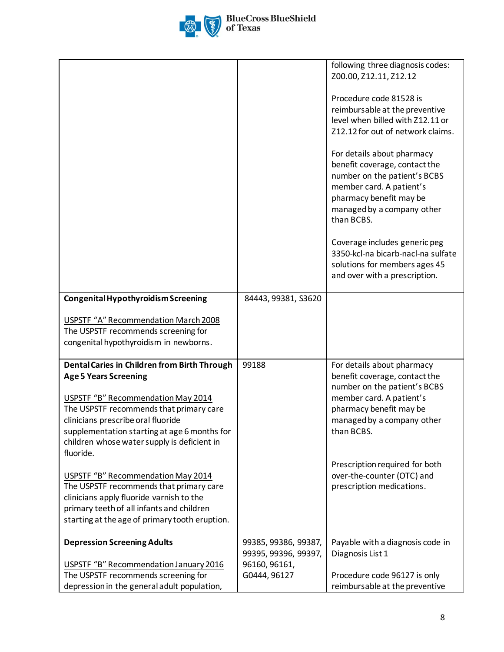

| Z00.00, Z12.11, Z12.12<br>Procedure code 81528 is<br>reimbursable at the preventive<br>level when billed with Z12.11 or<br>Z12.12 for out of network claims.<br>For details about pharmacy<br>benefit coverage, contact the<br>number on the patient's BCBS<br>member card. A patient's<br>pharmacy benefit may be<br>managed by a company other<br>than BCBS.<br>Coverage includes generic peg<br>3350-kcl-na bicarb-nacl-na sulfate<br>solutions for members ages 45<br>and over with a prescription.<br>Congenital Hypothyroidism Screening<br>84443, 99381, S3620<br>USPSTF "A" Recommendation March 2008<br>The USPSTF recommends screening for<br>congenital hypothyroidism in newborns.<br>Dental Caries in Children from Birth Through<br>99188<br>For details about pharmacy<br><b>Age 5 Years Screening</b><br>benefit coverage, contact the<br>number on the patient's BCBS<br>USPSTF "B" Recommendation May 2014<br>member card. A patient's<br>pharmacy benefit may be<br>The USPSTF recommends that primary care<br>clinicians prescribe oral fluoride<br>managed by a company other<br>supplementation starting at age 6 months for<br>than BCBS.<br>children whose water supply is deficient in<br>fluoride.<br>Prescription required for both<br>over-the-counter (OTC) and<br>USPSTF "B" Recommendation May 2014<br>prescription medications.<br>The USPSTF recommends that primary care<br>clinicians apply fluoride varnish to the |                                           | following three diagnosis codes: |
|--------------------------------------------------------------------------------------------------------------------------------------------------------------------------------------------------------------------------------------------------------------------------------------------------------------------------------------------------------------------------------------------------------------------------------------------------------------------------------------------------------------------------------------------------------------------------------------------------------------------------------------------------------------------------------------------------------------------------------------------------------------------------------------------------------------------------------------------------------------------------------------------------------------------------------------------------------------------------------------------------------------------------------------------------------------------------------------------------------------------------------------------------------------------------------------------------------------------------------------------------------------------------------------------------------------------------------------------------------------------------------------------------------------------------------------------------------|-------------------------------------------|----------------------------------|
|                                                                                                                                                                                                                                                                                                                                                                                                                                                                                                                                                                                                                                                                                                                                                                                                                                                                                                                                                                                                                                                                                                                                                                                                                                                                                                                                                                                                                                                        |                                           |                                  |
|                                                                                                                                                                                                                                                                                                                                                                                                                                                                                                                                                                                                                                                                                                                                                                                                                                                                                                                                                                                                                                                                                                                                                                                                                                                                                                                                                                                                                                                        |                                           |                                  |
|                                                                                                                                                                                                                                                                                                                                                                                                                                                                                                                                                                                                                                                                                                                                                                                                                                                                                                                                                                                                                                                                                                                                                                                                                                                                                                                                                                                                                                                        |                                           |                                  |
|                                                                                                                                                                                                                                                                                                                                                                                                                                                                                                                                                                                                                                                                                                                                                                                                                                                                                                                                                                                                                                                                                                                                                                                                                                                                                                                                                                                                                                                        |                                           |                                  |
|                                                                                                                                                                                                                                                                                                                                                                                                                                                                                                                                                                                                                                                                                                                                                                                                                                                                                                                                                                                                                                                                                                                                                                                                                                                                                                                                                                                                                                                        |                                           |                                  |
|                                                                                                                                                                                                                                                                                                                                                                                                                                                                                                                                                                                                                                                                                                                                                                                                                                                                                                                                                                                                                                                                                                                                                                                                                                                                                                                                                                                                                                                        |                                           |                                  |
|                                                                                                                                                                                                                                                                                                                                                                                                                                                                                                                                                                                                                                                                                                                                                                                                                                                                                                                                                                                                                                                                                                                                                                                                                                                                                                                                                                                                                                                        |                                           |                                  |
|                                                                                                                                                                                                                                                                                                                                                                                                                                                                                                                                                                                                                                                                                                                                                                                                                                                                                                                                                                                                                                                                                                                                                                                                                                                                                                                                                                                                                                                        |                                           |                                  |
|                                                                                                                                                                                                                                                                                                                                                                                                                                                                                                                                                                                                                                                                                                                                                                                                                                                                                                                                                                                                                                                                                                                                                                                                                                                                                                                                                                                                                                                        |                                           |                                  |
|                                                                                                                                                                                                                                                                                                                                                                                                                                                                                                                                                                                                                                                                                                                                                                                                                                                                                                                                                                                                                                                                                                                                                                                                                                                                                                                                                                                                                                                        |                                           |                                  |
|                                                                                                                                                                                                                                                                                                                                                                                                                                                                                                                                                                                                                                                                                                                                                                                                                                                                                                                                                                                                                                                                                                                                                                                                                                                                                                                                                                                                                                                        |                                           |                                  |
|                                                                                                                                                                                                                                                                                                                                                                                                                                                                                                                                                                                                                                                                                                                                                                                                                                                                                                                                                                                                                                                                                                                                                                                                                                                                                                                                                                                                                                                        |                                           |                                  |
|                                                                                                                                                                                                                                                                                                                                                                                                                                                                                                                                                                                                                                                                                                                                                                                                                                                                                                                                                                                                                                                                                                                                                                                                                                                                                                                                                                                                                                                        |                                           |                                  |
|                                                                                                                                                                                                                                                                                                                                                                                                                                                                                                                                                                                                                                                                                                                                                                                                                                                                                                                                                                                                                                                                                                                                                                                                                                                                                                                                                                                                                                                        |                                           |                                  |
|                                                                                                                                                                                                                                                                                                                                                                                                                                                                                                                                                                                                                                                                                                                                                                                                                                                                                                                                                                                                                                                                                                                                                                                                                                                                                                                                                                                                                                                        |                                           |                                  |
|                                                                                                                                                                                                                                                                                                                                                                                                                                                                                                                                                                                                                                                                                                                                                                                                                                                                                                                                                                                                                                                                                                                                                                                                                                                                                                                                                                                                                                                        |                                           |                                  |
|                                                                                                                                                                                                                                                                                                                                                                                                                                                                                                                                                                                                                                                                                                                                                                                                                                                                                                                                                                                                                                                                                                                                                                                                                                                                                                                                                                                                                                                        |                                           |                                  |
|                                                                                                                                                                                                                                                                                                                                                                                                                                                                                                                                                                                                                                                                                                                                                                                                                                                                                                                                                                                                                                                                                                                                                                                                                                                                                                                                                                                                                                                        |                                           |                                  |
|                                                                                                                                                                                                                                                                                                                                                                                                                                                                                                                                                                                                                                                                                                                                                                                                                                                                                                                                                                                                                                                                                                                                                                                                                                                                                                                                                                                                                                                        |                                           |                                  |
|                                                                                                                                                                                                                                                                                                                                                                                                                                                                                                                                                                                                                                                                                                                                                                                                                                                                                                                                                                                                                                                                                                                                                                                                                                                                                                                                                                                                                                                        |                                           |                                  |
|                                                                                                                                                                                                                                                                                                                                                                                                                                                                                                                                                                                                                                                                                                                                                                                                                                                                                                                                                                                                                                                                                                                                                                                                                                                                                                                                                                                                                                                        |                                           |                                  |
|                                                                                                                                                                                                                                                                                                                                                                                                                                                                                                                                                                                                                                                                                                                                                                                                                                                                                                                                                                                                                                                                                                                                                                                                                                                                                                                                                                                                                                                        |                                           |                                  |
|                                                                                                                                                                                                                                                                                                                                                                                                                                                                                                                                                                                                                                                                                                                                                                                                                                                                                                                                                                                                                                                                                                                                                                                                                                                                                                                                                                                                                                                        |                                           |                                  |
|                                                                                                                                                                                                                                                                                                                                                                                                                                                                                                                                                                                                                                                                                                                                                                                                                                                                                                                                                                                                                                                                                                                                                                                                                                                                                                                                                                                                                                                        |                                           |                                  |
|                                                                                                                                                                                                                                                                                                                                                                                                                                                                                                                                                                                                                                                                                                                                                                                                                                                                                                                                                                                                                                                                                                                                                                                                                                                                                                                                                                                                                                                        |                                           |                                  |
|                                                                                                                                                                                                                                                                                                                                                                                                                                                                                                                                                                                                                                                                                                                                                                                                                                                                                                                                                                                                                                                                                                                                                                                                                                                                                                                                                                                                                                                        |                                           |                                  |
|                                                                                                                                                                                                                                                                                                                                                                                                                                                                                                                                                                                                                                                                                                                                                                                                                                                                                                                                                                                                                                                                                                                                                                                                                                                                                                                                                                                                                                                        |                                           |                                  |
|                                                                                                                                                                                                                                                                                                                                                                                                                                                                                                                                                                                                                                                                                                                                                                                                                                                                                                                                                                                                                                                                                                                                                                                                                                                                                                                                                                                                                                                        |                                           |                                  |
|                                                                                                                                                                                                                                                                                                                                                                                                                                                                                                                                                                                                                                                                                                                                                                                                                                                                                                                                                                                                                                                                                                                                                                                                                                                                                                                                                                                                                                                        |                                           |                                  |
|                                                                                                                                                                                                                                                                                                                                                                                                                                                                                                                                                                                                                                                                                                                                                                                                                                                                                                                                                                                                                                                                                                                                                                                                                                                                                                                                                                                                                                                        | primary teeth of all infants and children |                                  |
| starting at the age of primary tooth eruption.                                                                                                                                                                                                                                                                                                                                                                                                                                                                                                                                                                                                                                                                                                                                                                                                                                                                                                                                                                                                                                                                                                                                                                                                                                                                                                                                                                                                         |                                           |                                  |
|                                                                                                                                                                                                                                                                                                                                                                                                                                                                                                                                                                                                                                                                                                                                                                                                                                                                                                                                                                                                                                                                                                                                                                                                                                                                                                                                                                                                                                                        |                                           |                                  |
| <b>Depression Screening Adults</b><br>99385, 99386, 99387,<br>Payable with a diagnosis code in                                                                                                                                                                                                                                                                                                                                                                                                                                                                                                                                                                                                                                                                                                                                                                                                                                                                                                                                                                                                                                                                                                                                                                                                                                                                                                                                                         |                                           |                                  |
| 99395, 99396, 99397,<br>Diagnosis List 1                                                                                                                                                                                                                                                                                                                                                                                                                                                                                                                                                                                                                                                                                                                                                                                                                                                                                                                                                                                                                                                                                                                                                                                                                                                                                                                                                                                                               |                                           |                                  |
| USPSTF "B" Recommendation January 2016<br>96160, 96161,                                                                                                                                                                                                                                                                                                                                                                                                                                                                                                                                                                                                                                                                                                                                                                                                                                                                                                                                                                                                                                                                                                                                                                                                                                                                                                                                                                                                |                                           |                                  |
| G0444, 96127<br>The USPSTF recommends screening for<br>Procedure code 96127 is only                                                                                                                                                                                                                                                                                                                                                                                                                                                                                                                                                                                                                                                                                                                                                                                                                                                                                                                                                                                                                                                                                                                                                                                                                                                                                                                                                                    |                                           |                                  |
| depression in the general adult population,<br>reimbursable at the preventive                                                                                                                                                                                                                                                                                                                                                                                                                                                                                                                                                                                                                                                                                                                                                                                                                                                                                                                                                                                                                                                                                                                                                                                                                                                                                                                                                                          |                                           |                                  |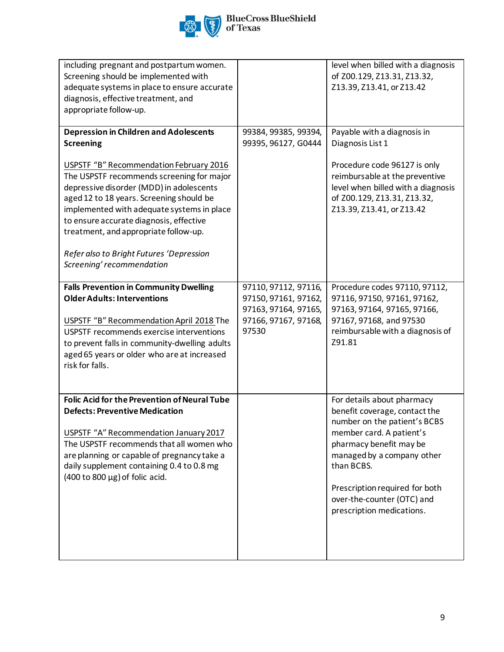

| including pregnant and postpartum women.<br>Screening should be implemented with<br>adequate systems in place to ensure accurate<br>diagnosis, effective treatment, and<br>appropriate follow-up.                                                                                                                                                                                                                                                                   |                                                                                                       | level when billed with a diagnosis<br>of Z00.129, Z13.31, Z13.32,<br>Z13.39, Z13.41, or Z13.42                                                                                                                                                                                              |
|---------------------------------------------------------------------------------------------------------------------------------------------------------------------------------------------------------------------------------------------------------------------------------------------------------------------------------------------------------------------------------------------------------------------------------------------------------------------|-------------------------------------------------------------------------------------------------------|---------------------------------------------------------------------------------------------------------------------------------------------------------------------------------------------------------------------------------------------------------------------------------------------|
| <b>Depression in Children and Adolescents</b><br><b>Screening</b><br><b>USPSTF "B" Recommendation February 2016</b><br>The USPSTF recommends screening for major<br>depressive disorder (MDD) in adolescents<br>aged 12 to 18 years. Screening should be<br>implemented with adequate systems in place<br>to ensure accurate diagnosis, effective<br>treatment, and appropriate follow-up.<br>Refer also to Bright Futures 'Depression<br>Screening' recommendation | 99384, 99385, 99394,<br>99395, 96127, G0444                                                           | Payable with a diagnosis in<br>Diagnosis List 1<br>Procedure code 96127 is only<br>reimbursable at the preventive<br>level when billed with a diagnosis<br>of Z00.129, Z13.31, Z13.32,<br>Z13.39, Z13.41, or Z13.42                                                                         |
| <b>Falls Prevention in Community Dwelling</b><br><b>Older Adults: Interventions</b><br>USPSTF "B" Recommendation April 2018 The<br>USPSTF recommends exercise interventions<br>to prevent falls in community-dwelling adults<br>aged 65 years or older who are at increased<br>risk for falls.                                                                                                                                                                      | 97110, 97112, 97116,<br>97150, 97161, 97162,<br>97163, 97164, 97165,<br>97166, 97167, 97168,<br>97530 | Procedure codes 97110, 97112,<br>97116, 97150, 97161, 97162,<br>97163, 97164, 97165, 97166,<br>97167, 97168, and 97530<br>reimbursable with a diagnosis of<br>Z91.81                                                                                                                        |
| <b>Folic Acid for the Prevention of Neural Tube</b><br><b>Defects: Preventive Medication</b><br>USPSTF "A" Recommendation January 2017<br>The USPSTF recommends that all women who<br>are planning or capable of pregnancy take a<br>daily supplement containing 0.4 to 0.8 mg<br>$(400 \text{ to } 800 \text{ µg})$ of folic acid.                                                                                                                                 |                                                                                                       | For details about pharmacy<br>benefit coverage, contact the<br>number on the patient's BCBS<br>member card. A patient's<br>pharmacy benefit may be<br>managed by a company other<br>than BCBS.<br>Prescription required for both<br>over-the-counter (OTC) and<br>prescription medications. |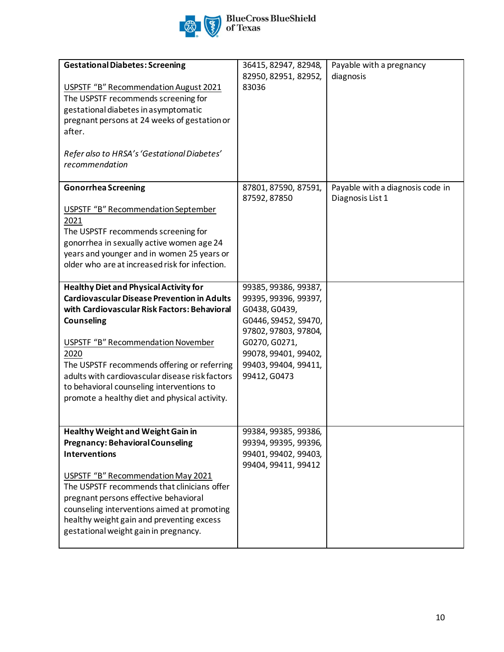

| <b>Gestational Diabetes: Screening</b><br>USPSTF "B" Recommendation August 2021<br>The USPSTF recommends screening for<br>gestational diabetes in asymptomatic<br>pregnant persons at 24 weeks of gestation or<br>after.                                                                                                                                                                                                      | 36415, 82947, 82948,<br>82950, 82951, 82952,<br>83036                                                                                                                                          | Payable with a pregnancy<br>diagnosis                |
|-------------------------------------------------------------------------------------------------------------------------------------------------------------------------------------------------------------------------------------------------------------------------------------------------------------------------------------------------------------------------------------------------------------------------------|------------------------------------------------------------------------------------------------------------------------------------------------------------------------------------------------|------------------------------------------------------|
| Refer also to HRSA's 'Gestational Diabetes'<br>recommendation                                                                                                                                                                                                                                                                                                                                                                 |                                                                                                                                                                                                |                                                      |
| <b>Gonorrhea Screening</b><br>USPSTF "B" Recommendation September<br>2021<br>The USPSTF recommends screening for<br>gonorrhea in sexually active women age 24<br>years and younger and in women 25 years or<br>older who are at increased risk for infection.                                                                                                                                                                 | 87801, 87590, 87591,<br>87592, 87850                                                                                                                                                           | Payable with a diagnosis code in<br>Diagnosis List 1 |
| <b>Healthy Diet and Physical Activity for</b><br><b>Cardiovascular Disease Prevention in Adults</b><br>with Cardiovascular Risk Factors: Behavioral<br><b>Counseling</b><br><b>USPSTF "B" Recommendation November</b><br>2020<br>The USPSTF recommends offering or referring<br>adults with cardiovascular disease risk factors<br>to behavioral counseling interventions to<br>promote a healthy diet and physical activity. | 99385, 99386, 99387,<br>99395, 99396, 99397,<br>G0438, G0439,<br>G0446, S9452, S9470,<br>97802, 97803, 97804,<br>G0270, G0271,<br>99078, 99401, 99402,<br>99403, 99404, 99411,<br>99412, G0473 |                                                      |
| <b>Healthy Weight and Weight Gain in</b><br><b>Pregnancy: Behavioral Counseling</b><br><b>Interventions</b><br>USPSTF "B" Recommendation May 2021<br>The USPSTF recommends that clinicians offer<br>pregnant persons effective behavioral<br>counseling interventions aimed at promoting<br>healthy weight gain and preventing excess<br>gestational weight gain in pregnancy.                                                | 99384, 99385, 99386,<br>99394, 99395, 99396,<br>99401, 99402, 99403,<br>99404, 99411, 99412                                                                                                    |                                                      |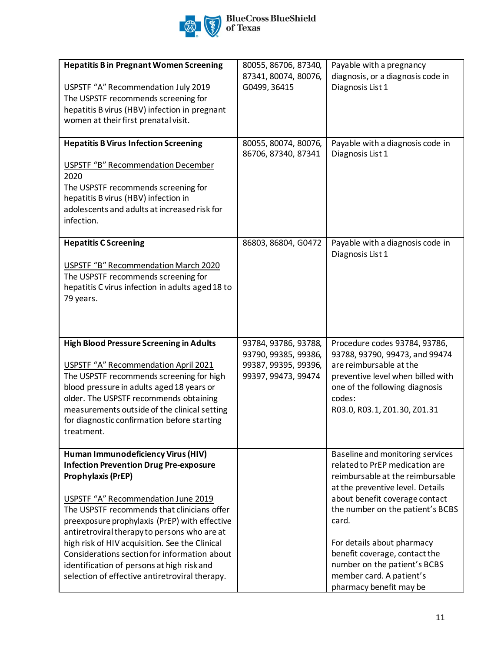

| <b>Hepatitis B in Pregnant Women Screening</b><br>USPSTF "A" Recommendation July 2019<br>The USPSTF recommends screening for<br>hepatitis B virus (HBV) infection in pregnant<br>women at their first prenatal visit.                                                                                                                                                                                                                                                                              | 80055, 86706, 87340,<br>87341, 80074, 80076,<br>G0499, 36415                                | Payable with a pregnancy<br>diagnosis, or a diagnosis code in<br>Diagnosis List 1                                                                                                                                                                                                                                                                                               |
|----------------------------------------------------------------------------------------------------------------------------------------------------------------------------------------------------------------------------------------------------------------------------------------------------------------------------------------------------------------------------------------------------------------------------------------------------------------------------------------------------|---------------------------------------------------------------------------------------------|---------------------------------------------------------------------------------------------------------------------------------------------------------------------------------------------------------------------------------------------------------------------------------------------------------------------------------------------------------------------------------|
| <b>Hepatitis B Virus Infection Screening</b><br><b>USPSTF "B" Recommendation December</b><br>2020<br>The USPSTF recommends screening for<br>hepatitis B virus (HBV) infection in<br>adolescents and adults at increased risk for<br>infection.                                                                                                                                                                                                                                                     | 80055, 80074, 80076,<br>86706, 87340, 87341                                                 | Payable with a diagnosis code in<br>Diagnosis List 1                                                                                                                                                                                                                                                                                                                            |
| <b>Hepatitis C Screening</b><br><b>USPSTF "B" Recommendation March 2020</b><br>The USPSTF recommends screening for<br>hepatitis C virus infection in adults aged 18 to<br>79 years.                                                                                                                                                                                                                                                                                                                | 86803, 86804, G0472                                                                         | Payable with a diagnosis code in<br>Diagnosis List 1                                                                                                                                                                                                                                                                                                                            |
| High Blood Pressure Screening in Adults<br>USPSTF "A" Recommendation April 2021<br>The USPSTF recommends screening for high<br>blood pressure in adults aged 18 years or<br>older. The USPSTF recommends obtaining<br>measurements outside of the clinical setting<br>for diagnostic confirmation before starting<br>treatment.                                                                                                                                                                    | 93784, 93786, 93788,<br>93790, 99385, 99386,<br>99387, 99395, 99396,<br>99397, 99473, 99474 | Procedure codes 93784, 93786,<br>93788, 93790, 99473, and 99474<br>are reimbursable at the<br>preventive level when billed with<br>one of the following diagnosis<br>codes:<br>R03.0, R03.1, Z01.30, Z01.31                                                                                                                                                                     |
| Human Immunodeficiency Virus (HIV)<br><b>Infection Prevention Drug Pre-exposure</b><br>Prophylaxis (PrEP)<br>USPSTF "A" Recommendation June 2019<br>The USPSTF recommends that clinicians offer<br>preexposure prophylaxis (PrEP) with effective<br>antiretroviral therapy to persons who are at<br>high risk of HIV acquisition. See the Clinical<br>Considerations section for information about<br>identification of persons at high risk and<br>selection of effective antiretroviral therapy. |                                                                                             | Baseline and monitoring services<br>related to PrEP medication are<br>reimbursable at the reimbursable<br>at the preventive level. Details<br>about benefit coverage contact<br>the number on the patient's BCBS<br>card.<br>For details about pharmacy<br>benefit coverage, contact the<br>number on the patient's BCBS<br>member card. A patient's<br>pharmacy benefit may be |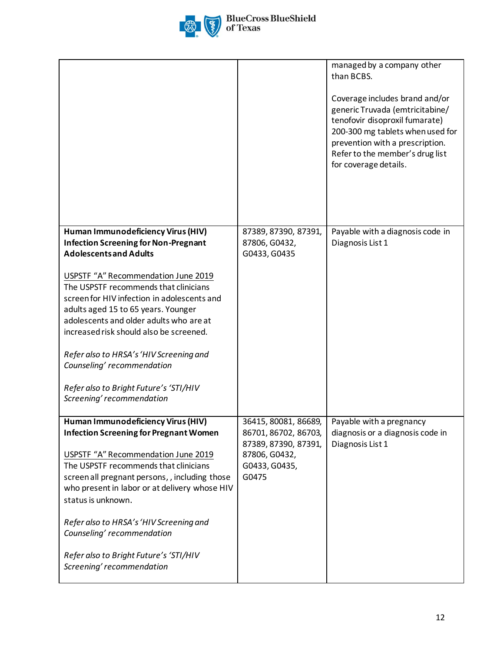

|                                                                                                                                                                                                                                                                                                                                                                                                                                             |                                                                                                                 | managed by a company other<br>than BCBS.<br>Coverage includes brand and/or<br>generic Truvada (emtricitabine/<br>tenofovir disoproxil fumarate)<br>200-300 mg tablets when used for<br>prevention with a prescription.<br>Refer to the member's drug list<br>for coverage details. |
|---------------------------------------------------------------------------------------------------------------------------------------------------------------------------------------------------------------------------------------------------------------------------------------------------------------------------------------------------------------------------------------------------------------------------------------------|-----------------------------------------------------------------------------------------------------------------|------------------------------------------------------------------------------------------------------------------------------------------------------------------------------------------------------------------------------------------------------------------------------------|
| Human Immunodeficiency Virus (HIV)<br><b>Infection Screening for Non-Pregnant</b><br><b>Adolescents and Adults</b>                                                                                                                                                                                                                                                                                                                          | 87389, 87390, 87391,<br>87806, G0432,<br>G0433, G0435                                                           | Payable with a diagnosis code in<br>Diagnosis List 1                                                                                                                                                                                                                               |
| USPSTF "A" Recommendation June 2019<br>The USPSTF recommends that clinicians<br>screen for HIV infection in adolescents and<br>adults aged 15 to 65 years. Younger<br>adolescents and older adults who are at<br>increased risk should also be screened.<br>Refer also to HRSA's 'HIV Screening and<br>Counseling' recommendation<br>Refer also to Bright Future's 'STI/HIV<br>Screening' recommendation                                    |                                                                                                                 |                                                                                                                                                                                                                                                                                    |
| Human Immunodeficiency Virus (HIV)<br><b>Infection Screening for Pregnant Women</b><br>USPSTF "A" Recommendation June 2019<br>The USPSTF recommends that clinicians<br>screen all pregnant persons,, including those<br>who present in labor or at delivery whose HIV<br>status is unknown.<br>Refer also to HRSA's 'HIV Screening and<br>Counseling' recommendation<br>Refer also to Bright Future's 'STI/HIV<br>Screening' recommendation | 36415, 80081, 86689,<br>86701, 86702, 86703,<br>87389, 87390, 87391,<br>87806, G0432,<br>G0433, G0435,<br>G0475 | Payable with a pregnancy<br>diagnosis or a diagnosis code in<br>Diagnosis List 1                                                                                                                                                                                                   |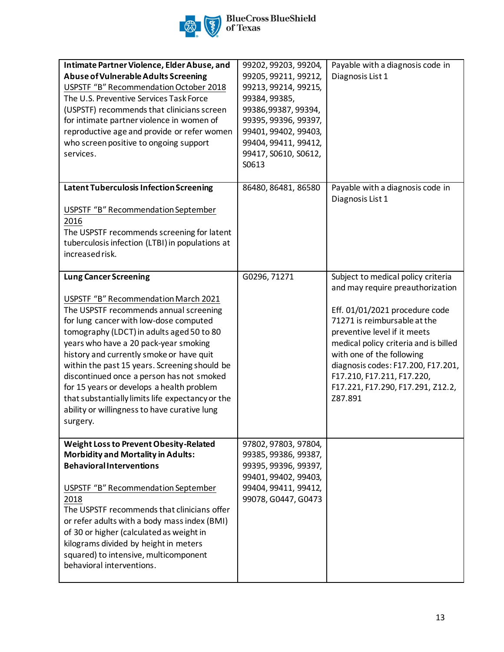

| Intimate Partner Violence, Elder Abuse, and<br>Abuse of Vulnerable Adults Screening<br>USPSTF "B" Recommendation October 2018<br>The U.S. Preventive Services Task Force<br>(USPSTF) recommends that clinicians screen                                                                                                                                                                                                                                                                                                                                | 99202, 99203, 99204,<br>99205, 99211, 99212,<br>99213, 99214, 99215,<br>99384, 99385,                                                       | Payable with a diagnosis code in<br>Diagnosis List 1                                                                                                                                                                                                                                                                                                               |
|-------------------------------------------------------------------------------------------------------------------------------------------------------------------------------------------------------------------------------------------------------------------------------------------------------------------------------------------------------------------------------------------------------------------------------------------------------------------------------------------------------------------------------------------------------|---------------------------------------------------------------------------------------------------------------------------------------------|--------------------------------------------------------------------------------------------------------------------------------------------------------------------------------------------------------------------------------------------------------------------------------------------------------------------------------------------------------------------|
| for intimate partner violence in women of<br>reproductive age and provide or refer women<br>who screen positive to ongoing support                                                                                                                                                                                                                                                                                                                                                                                                                    | 99386,99387,99394,<br>99395, 99396, 99397,<br>99401, 99402, 99403,<br>99404, 99411, 99412,                                                  |                                                                                                                                                                                                                                                                                                                                                                    |
| services.                                                                                                                                                                                                                                                                                                                                                                                                                                                                                                                                             | 99417, S0610, S0612,<br>S0613                                                                                                               |                                                                                                                                                                                                                                                                                                                                                                    |
| <b>Latent Tuberculosis Infection Screening</b><br><b>USPSTF "B" Recommendation September</b><br>2016                                                                                                                                                                                                                                                                                                                                                                                                                                                  | 86480, 86481, 86580                                                                                                                         | Payable with a diagnosis code in<br>Diagnosis List 1                                                                                                                                                                                                                                                                                                               |
| The USPSTF recommends screening for latent<br>tuberculosis infection (LTBI) in populations at<br>increased risk.                                                                                                                                                                                                                                                                                                                                                                                                                                      |                                                                                                                                             |                                                                                                                                                                                                                                                                                                                                                                    |
| <b>Lung Cancer Screening</b><br>USPSTF "B" Recommendation March 2021<br>The USPSTF recommends annual screening<br>for lung cancer with low-dose computed<br>tomography (LDCT) in adults aged 50 to 80<br>years who have a 20 pack-year smoking<br>history and currently smoke or have quit<br>within the past 15 years. Screening should be<br>discontinued once a person has not smoked<br>for 15 years or develops a health problem<br>that substantially limits life expectancy or the<br>ability or willingness to have curative lung<br>surgery. | G0296, 71271                                                                                                                                | Subject to medical policy criteria<br>and may require preauthorization<br>Eff. 01/01/2021 procedure code<br>71271 is reimbursable at the<br>preventive level if it meets<br>medical policy criteria and is billed<br>with one of the following<br>diagnosis codes: F17.200, F17.201,<br>F17.210, F17.211, F17.220,<br>F17.221, F17.290, F17.291, Z12.2,<br>Z87.891 |
| Weight Loss to Prevent Obesity-Related<br><b>Morbidity and Mortality in Adults:</b><br><b>Behavioral Interventions</b><br>USPSTF "B" Recommendation September<br>2018<br>The USPSTF recommends that clinicians offer<br>or refer adults with a body mass index (BMI)<br>of 30 or higher (calculated as weight in<br>kilograms divided by height in meters<br>squared) to intensive, multicomponent<br>behavioral interventions.                                                                                                                       | 97802, 97803, 97804,<br>99385, 99386, 99387,<br>99395, 99396, 99397,<br>99401, 99402, 99403,<br>99404, 99411, 99412,<br>99078, G0447, G0473 |                                                                                                                                                                                                                                                                                                                                                                    |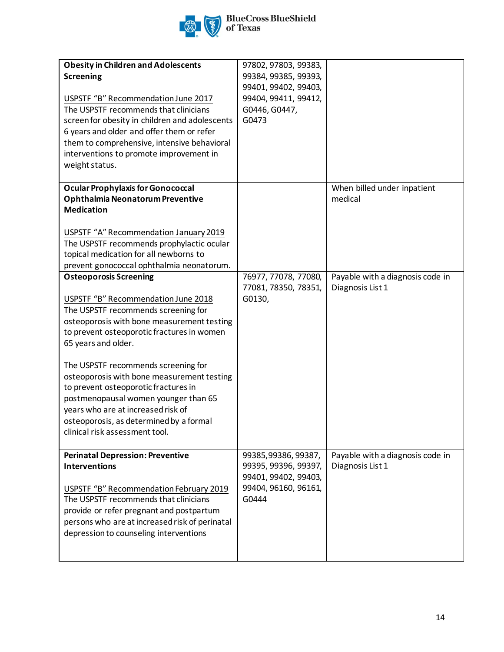

| <b>Obesity in Children and Adolescents</b><br><b>Screening</b><br>USPSTF "B" Recommendation June 2017<br>The USPSTF recommends that clinicians<br>screen for obesity in children and adolescents<br>6 years and older and offer them or refer<br>them to comprehensive, intensive behavioral<br>interventions to promote improvement in<br>weight status.                                                                                                                                                              | 97802, 97803, 99383,<br>99384, 99385, 99393,<br>99401, 99402, 99403,<br>99404, 99411, 99412,<br>G0446, G0447,<br>G0473 |                                                      |
|------------------------------------------------------------------------------------------------------------------------------------------------------------------------------------------------------------------------------------------------------------------------------------------------------------------------------------------------------------------------------------------------------------------------------------------------------------------------------------------------------------------------|------------------------------------------------------------------------------------------------------------------------|------------------------------------------------------|
| <b>Ocular Prophylaxis for Gonococcal</b><br>Ophthalmia Neonatorum Preventive<br><b>Medication</b><br>USPSTF "A" Recommendation January 2019<br>The USPSTF recommends prophylactic ocular<br>topical medication for all newborns to<br>prevent gonococcal ophthalmia neonatorum.                                                                                                                                                                                                                                        |                                                                                                                        | When billed under inpatient<br>medical               |
| <b>Osteoporosis Screening</b><br>USPSTF "B" Recommendation June 2018<br>The USPSTF recommends screening for<br>osteoporosis with bone measurement testing<br>to prevent osteoporotic fractures in women<br>65 years and older.<br>The USPSTF recommends screening for<br>osteoporosis with bone measurement testing<br>to prevent osteoporotic fractures in<br>postmenopausal women younger than 65<br>years who are at increased risk of<br>osteoporosis, as determined by a formal<br>clinical risk assessment tool. | 76977, 77078, 77080,<br>77081, 78350, 78351,<br>G0130,                                                                 | Payable with a diagnosis code in<br>Diagnosis List 1 |
| <b>Perinatal Depression: Preventive</b><br><b>Interventions</b><br><b>USPSTF "B" Recommendation February 2019</b><br>The USPSTF recommends that clinicians<br>provide or refer pregnant and postpartum<br>persons who are at increased risk of perinatal<br>depression to counseling interventions                                                                                                                                                                                                                     | 99385,99386,99387,<br>99395, 99396, 99397,<br>99401, 99402, 99403,<br>99404, 96160, 96161,<br>G0444                    | Payable with a diagnosis code in<br>Diagnosis List 1 |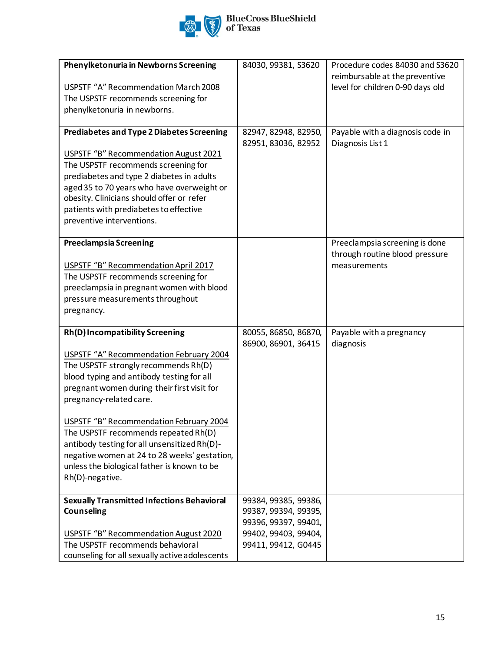

| Phenylketonuria in Newborns Screening<br>USPSTF "A" Recommendation March 2008<br>The USPSTF recommends screening for<br>phenylketonuria in newborns.                                                                                                                                                                                                                                                                                                                                                  | 84030, 99381, S3620                                                                                                 | Procedure codes 84030 and S3620<br>reimbursable at the preventive<br>level for children 0-90 days old |
|-------------------------------------------------------------------------------------------------------------------------------------------------------------------------------------------------------------------------------------------------------------------------------------------------------------------------------------------------------------------------------------------------------------------------------------------------------------------------------------------------------|---------------------------------------------------------------------------------------------------------------------|-------------------------------------------------------------------------------------------------------|
| <b>Prediabetes and Type 2 Diabetes Screening</b><br>USPSTF "B" Recommendation August 2021<br>The USPSTF recommends screening for<br>prediabetes and type 2 diabetes in adults<br>aged 35 to 70 years who have overweight or<br>obesity. Clinicians should offer or refer<br>patients with prediabetes to effective<br>preventive interventions.                                                                                                                                                       | 82947, 82948, 82950,<br>82951, 83036, 82952                                                                         | Payable with a diagnosis code in<br>Diagnosis List 1                                                  |
| <b>Preeclampsia Screening</b><br>USPSTF "B" Recommendation April 2017<br>The USPSTF recommends screening for<br>preeclampsia in pregnant women with blood<br>pressure measurements throughout<br>pregnancy.                                                                                                                                                                                                                                                                                           |                                                                                                                     | Preeclampsia screening is done<br>through routine blood pressure<br>measurements                      |
| Rh(D) Incompatibility Screening<br><b>USPSTF "A" Recommendation February 2004</b><br>The USPSTF strongly recommends Rh(D)<br>blood typing and antibody testing for all<br>pregnant women during their first visit for<br>pregnancy-related care.<br>USPSTF "B" Recommendation February 2004<br>The USPSTF recommends repeated Rh(D)<br>antibody testing for all unsensitized Rh(D)-<br>negative women at 24 to 28 weeks' gestation,<br>unless the biological father is known to be<br>Rh(D)-negative. | 80055, 86850, 86870,<br>86900, 86901, 36415                                                                         | Payable with a pregnancy<br>diagnosis                                                                 |
| <b>Sexually Transmitted Infections Behavioral</b><br><b>Counseling</b><br>USPSTF "B" Recommendation August 2020<br>The USPSTF recommends behavioral<br>counseling for all sexually active adolescents                                                                                                                                                                                                                                                                                                 | 99384, 99385, 99386,<br>99387, 99394, 99395,<br>99396, 99397, 99401,<br>99402, 99403, 99404,<br>99411, 99412, G0445 |                                                                                                       |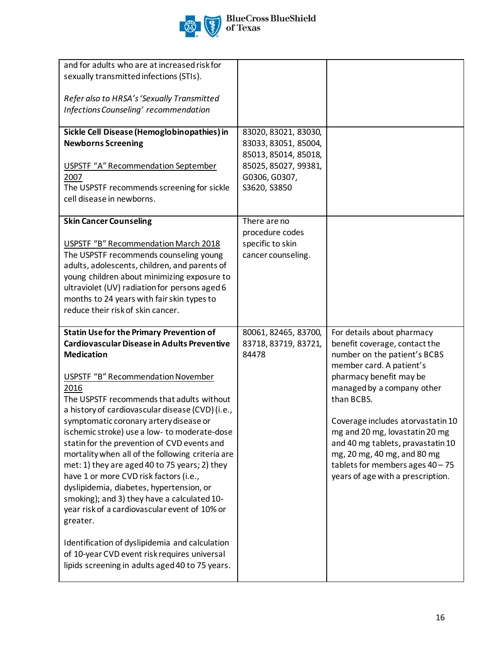

| and for adults who are at increased risk for<br>sexually transmitted infections (STIs).                                                                                                                                                                                                                                                                                                                                                                                                                                                                                                                                                                                                                                                                                                                                                                                        |                                                                                                                               |                                                                                                                                                                                                                                                                                                                                                                                                                    |
|--------------------------------------------------------------------------------------------------------------------------------------------------------------------------------------------------------------------------------------------------------------------------------------------------------------------------------------------------------------------------------------------------------------------------------------------------------------------------------------------------------------------------------------------------------------------------------------------------------------------------------------------------------------------------------------------------------------------------------------------------------------------------------------------------------------------------------------------------------------------------------|-------------------------------------------------------------------------------------------------------------------------------|--------------------------------------------------------------------------------------------------------------------------------------------------------------------------------------------------------------------------------------------------------------------------------------------------------------------------------------------------------------------------------------------------------------------|
| Refer also to HRSA's 'Sexually Transmitted<br>Infections Counseling' recommendation                                                                                                                                                                                                                                                                                                                                                                                                                                                                                                                                                                                                                                                                                                                                                                                            |                                                                                                                               |                                                                                                                                                                                                                                                                                                                                                                                                                    |
| Sickle Cell Disease (Hemoglobinopathies) in<br><b>Newborns Screening</b><br><b>USPSTF "A" Recommendation September</b><br>2007<br>The USPSTF recommends screening for sickle<br>cell disease in newborns.                                                                                                                                                                                                                                                                                                                                                                                                                                                                                                                                                                                                                                                                      | 83020, 83021, 83030,<br>83033, 83051, 85004,<br>85013, 85014, 85018,<br>85025, 85027, 99381,<br>G0306, G0307,<br>S3620, S3850 |                                                                                                                                                                                                                                                                                                                                                                                                                    |
| <b>Skin Cancer Counseling</b><br>USPSTF "B" Recommendation March 2018<br>The USPSTF recommends counseling young<br>adults, adolescents, children, and parents of<br>young children about minimizing exposure to<br>ultraviolet (UV) radiation for persons aged 6<br>months to 24 years with fair skin types to<br>reduce their risk of skin cancer.                                                                                                                                                                                                                                                                                                                                                                                                                                                                                                                            | There are no<br>procedure codes<br>specific to skin<br>cancer counseling.                                                     |                                                                                                                                                                                                                                                                                                                                                                                                                    |
| <b>Statin Use for the Primary Prevention of</b><br>Cardiovascular Disease in Adults Preventive<br><b>Medication</b><br><b>USPSTF "B" Recommendation November</b><br>2016<br>The USPSTF recommends that adults without<br>a history of cardiovascular disease (CVD) (i.e.,<br>symptomatic coronary artery disease or<br>ischemic stroke) use a low- to moderate-dose<br>statin for the prevention of CVD events and<br>mortality when all of the following criteria are<br>met: 1) they are aged 40 to 75 years; 2) they<br>have 1 or more CVD risk factors (i.e.,<br>dyslipidemia, diabetes, hypertension, or<br>smoking); and 3) they have a calculated 10-<br>year risk of a cardiovascular event of 10% or<br>greater.<br>Identification of dyslipidemia and calculation<br>of 10-year CVD event risk requires universal<br>lipids screening in adults aged 40 to 75 years. | 80061, 82465, 83700,<br>83718, 83719, 83721,<br>84478                                                                         | For details about pharmacy<br>benefit coverage, contact the<br>number on the patient's BCBS<br>member card. A patient's<br>pharmacy benefit may be<br>managed by a company other<br>than BCBS.<br>Coverage includes atorvastatin 10<br>mg and 20 mg, lovastatin 20 mg<br>and 40 mg tablets, pravastatin 10<br>mg, 20 mg, 40 mg, and 80 mg<br>tablets for members ages 40 - 75<br>years of age with a prescription. |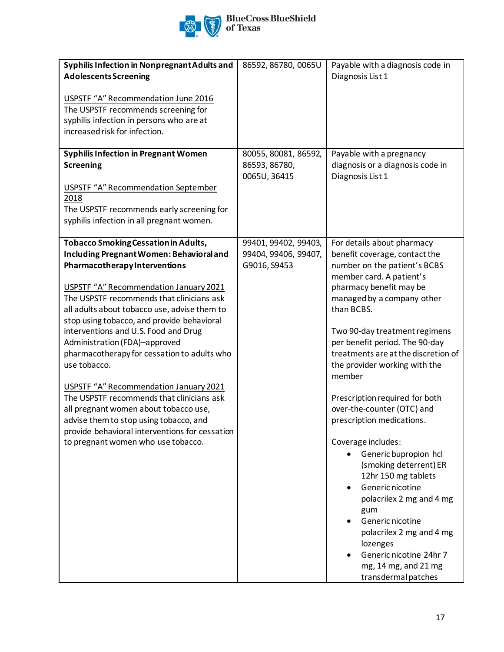

| Syphilis Infection in Nonpregnant Adults and   | 86592, 86780, 0065U  | Payable with a diagnosis code in    |
|------------------------------------------------|----------------------|-------------------------------------|
| <b>Adolescents Screening</b>                   |                      | Diagnosis List 1                    |
|                                                |                      |                                     |
| USPSTF "A" Recommendation June 2016            |                      |                                     |
| The USPSTF recommends screening for            |                      |                                     |
| syphilis infection in persons who are at       |                      |                                     |
| increased risk for infection.                  |                      |                                     |
|                                                |                      |                                     |
| <b>Syphilis Infection in Pregnant Women</b>    | 80055, 80081, 86592, | Payable with a pregnancy            |
| <b>Screening</b>                               | 86593, 86780,        | diagnosis or a diagnosis code in    |
|                                                | 0065U, 36415         | Diagnosis List 1                    |
| <b>USPSTF "A" Recommendation September</b>     |                      |                                     |
| 2018                                           |                      |                                     |
| The USPSTF recommends early screening for      |                      |                                     |
|                                                |                      |                                     |
| syphilis infection in all pregnant women.      |                      |                                     |
| <b>Tobacco Smoking Cessation in Adults,</b>    | 99401, 99402, 99403, | For details about pharmacy          |
| Including Pregnant Women: Behavioral and       | 99404, 99406, 99407, | benefit coverage, contact the       |
| PharmacotherapyInterventions                   | G9016, S9453         | number on the patient's BCBS        |
|                                                |                      | member card. A patient's            |
| USPSTF "A" Recommendation January 2021         |                      | pharmacy benefit may be             |
| The USPSTF recommends that clinicians ask      |                      |                                     |
|                                                |                      | managed by a company other          |
| all adults about tobacco use, advise them to   |                      | than BCBS.                          |
| stop using tobacco, and provide behavioral     |                      |                                     |
| interventions and U.S. Food and Drug           |                      | Two 90-day treatment regimens       |
| Administration (FDA)-approved                  |                      | per benefit period. The 90-day      |
| pharmacotherapy for cessation to adults who    |                      | treatments are at the discretion of |
| use tobacco.                                   |                      | the provider working with the       |
|                                                |                      | member                              |
| USPSTF "A" Recommendation January 2021         |                      |                                     |
| The USPSTF recommends that clinicians ask      |                      | Prescription required for both      |
| all pregnant women about tobacco use,          |                      | over-the-counter (OTC) and          |
| advise them to stop using tobacco, and         |                      | prescription medications.           |
| provide behavioral interventions for cessation |                      |                                     |
| to pregnant women who use tobacco.             |                      | Coverage includes:                  |
|                                                |                      | Generic bupropion hcl               |
|                                                |                      | (smoking deterrent) ER              |
|                                                |                      | 12hr 150 mg tablets                 |
|                                                |                      | Generic nicotine<br>$\bullet$       |
|                                                |                      | polacrilex 2 mg and 4 mg            |
|                                                |                      | gum                                 |
|                                                |                      | Generic nicotine                    |
|                                                |                      | polacrilex 2 mg and 4 mg            |
|                                                |                      | lozenges                            |
|                                                |                      | Generic nicotine 24hr 7             |
|                                                |                      | mg, 14 mg, and 21 mg                |
|                                                |                      | transdermal patches                 |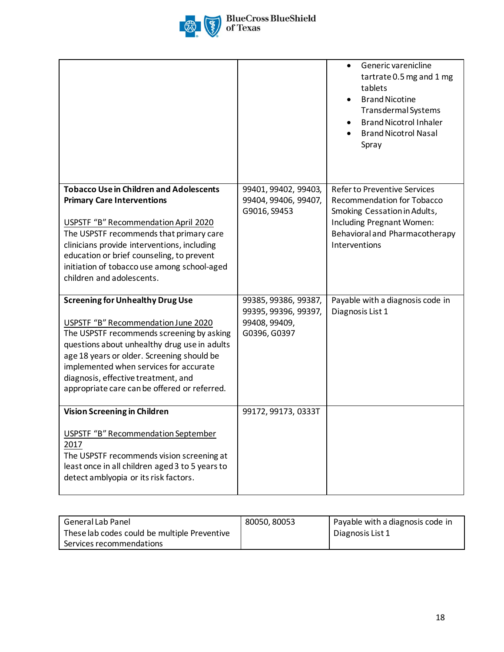

|                                                                                                                                                                                                                                                                                                                                                            |                                                                               | Generic varenicline<br>tartrate 0.5 mg and 1 mg<br>tablets<br><b>Brand Nicotine</b><br>Transdermal Systems<br><b>Brand Nicotrol Inhaler</b><br><b>Brand Nicotrol Nasal</b><br>Spray      |
|------------------------------------------------------------------------------------------------------------------------------------------------------------------------------------------------------------------------------------------------------------------------------------------------------------------------------------------------------------|-------------------------------------------------------------------------------|------------------------------------------------------------------------------------------------------------------------------------------------------------------------------------------|
| <b>Tobacco Use in Children and Adolescents</b><br><b>Primary Care Interventions</b><br>USPSTF "B" Recommendation April 2020<br>The USPSTF recommends that primary care<br>clinicians provide interventions, including<br>education or brief counseling, to prevent<br>initiation of tobacco use among school-aged<br>children and adolescents.             | 99401, 99402, 99403,<br>99404, 99406, 99407,<br>G9016, S9453                  | <b>Refer to Preventive Services</b><br><b>Recommendation for Tobacco</b><br>Smoking Cessation in Adults,<br>Including Pregnant Women:<br>Behavioral and Pharmacotherapy<br>Interventions |
| <b>Screening for Unhealthy Drug Use</b><br>USPSTF "B" Recommendation June 2020<br>The USPSTF recommends screening by asking<br>questions about unhealthy drug use in adults<br>age 18 years or older. Screening should be<br>implemented when services for accurate<br>diagnosis, effective treatment, and<br>appropriate care can be offered or referred. | 99385, 99386, 99387,<br>99395, 99396, 99397,<br>99408, 99409,<br>G0396, G0397 | Payable with a diagnosis code in<br>Diagnosis List 1                                                                                                                                     |
| <b>Vision Screening in Children</b><br><b>USPSTF "B" Recommendation September</b><br>2017<br>The USPSTF recommends vision screening at<br>least once in all children aged 3 to 5 years to<br>detect amblyopia or its risk factors.                                                                                                                         | 99172, 99173, 0333T                                                           |                                                                                                                                                                                          |

| l General Lab Panel                          | 80050, 80053 | Payable with a diagnosis code in |
|----------------------------------------------|--------------|----------------------------------|
| These lab codes could be multiple Preventive |              | Diagnosis List 1                 |
| Services recommendations                     |              |                                  |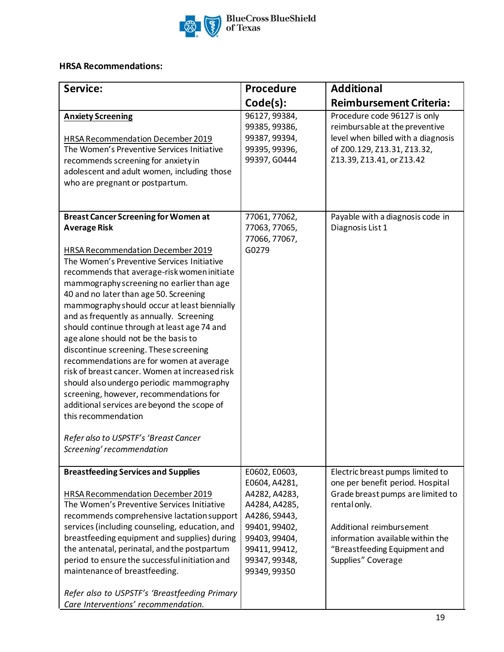

# **HRSA Recommendations:**

| Service:                                                                                                                                                                                                                                                                                                                                                                                                                                                                                                                                                                                                                                                                                                                                                                                                                     | Procedure                                                                                                                                                             | <b>Additional</b>                                                                                                                                                                                                                               |
|------------------------------------------------------------------------------------------------------------------------------------------------------------------------------------------------------------------------------------------------------------------------------------------------------------------------------------------------------------------------------------------------------------------------------------------------------------------------------------------------------------------------------------------------------------------------------------------------------------------------------------------------------------------------------------------------------------------------------------------------------------------------------------------------------------------------------|-----------------------------------------------------------------------------------------------------------------------------------------------------------------------|-------------------------------------------------------------------------------------------------------------------------------------------------------------------------------------------------------------------------------------------------|
|                                                                                                                                                                                                                                                                                                                                                                                                                                                                                                                                                                                                                                                                                                                                                                                                                              | Code(s):                                                                                                                                                              | <b>Reimbursement Criteria:</b>                                                                                                                                                                                                                  |
| <b>Anxiety Screening</b><br>HRSA Recommendation December 2019<br>The Women's Preventive Services Initiative<br>recommends screening for anxiety in<br>adolescent and adult women, including those<br>who are pregnant or postpartum.                                                                                                                                                                                                                                                                                                                                                                                                                                                                                                                                                                                         | 96127, 99384,<br>99385, 99386,<br>99387, 99394,<br>99395, 99396,<br>99397, G0444                                                                                      | Procedure code 96127 is only<br>reimbursable at the preventive<br>level when billed with a diagnosis<br>of Z00.129, Z13.31, Z13.32,<br>Z13.39, Z13.41, or Z13.42                                                                                |
| <b>Breast Cancer Screening for Women at</b><br><b>Average Risk</b><br>HRSA Recommendation December 2019<br>The Women's Preventive Services Initiative<br>recommends that average-risk women initiate<br>mammography screening no earlier than age<br>40 and no later than age 50. Screening<br>mammography should occur at least biennially<br>and as frequently as annually. Screening<br>should continue through at least age 74 and<br>age alone should not be the basis to<br>discontinue screening. These screening<br>recommendations are for women at average<br>risk of breast cancer. Women at increased risk<br>should also undergo periodic mammography<br>screening, however, recommendations for<br>additional services are beyond the scope of<br>this recommendation<br>Refer also to USPSTF's 'Breast Cancer | 77061, 77062,<br>77063, 77065,<br>77066, 77067,<br>G0279                                                                                                              | Payable with a diagnosis code in<br>Diagnosis List 1                                                                                                                                                                                            |
| Screening' recommendation                                                                                                                                                                                                                                                                                                                                                                                                                                                                                                                                                                                                                                                                                                                                                                                                    |                                                                                                                                                                       |                                                                                                                                                                                                                                                 |
| <b>Breastfeeding Services and Supplies</b><br>HRSA Recommendation December 2019<br>The Women's Preventive Services Initiative<br>recommends comprehensive lactation support<br>services (including counseling, education, and<br>breastfeeding equipment and supplies) during<br>the antenatal, perinatal, and the postpartum<br>period to ensure the successful initiation and<br>maintenance of breastfeeding.<br>Refer also to USPSTF's 'Breastfeeding Primary                                                                                                                                                                                                                                                                                                                                                            | E0602, E0603,<br>E0604, A4281,<br>A4282, A4283,<br>A4284, A4285,<br>A4286, S9443,<br>99401, 99402,<br>99403, 99404,<br>99411, 99412,<br>99347, 99348,<br>99349, 99350 | Electric breast pumps limited to<br>one per benefit period. Hospital<br>Grade breast pumps are limited to<br>rental only.<br>Additional reimbursement<br>information available within the<br>"Breastfeeding Equipment and<br>Supplies" Coverage |
| Care Interventions' recommendation.                                                                                                                                                                                                                                                                                                                                                                                                                                                                                                                                                                                                                                                                                                                                                                                          |                                                                                                                                                                       | 19                                                                                                                                                                                                                                              |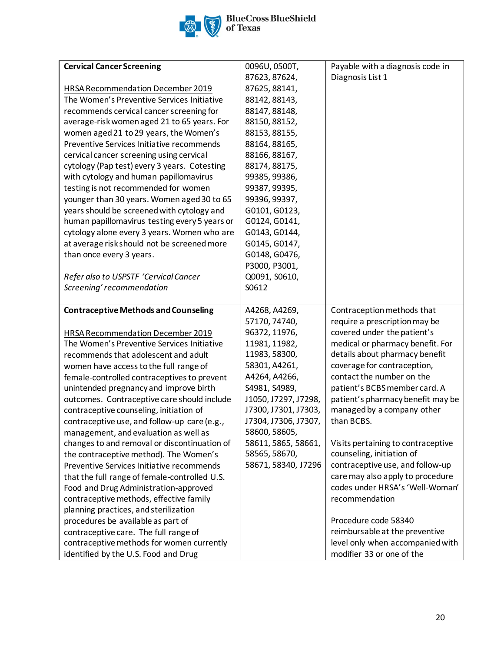

| <b>Cervical Cancer Screening</b>              | 0096U, 0500T,        | Payable with a diagnosis code in   |
|-----------------------------------------------|----------------------|------------------------------------|
|                                               | 87623, 87624,        | Diagnosis List 1                   |
| HRSA Recommendation December 2019             | 87625, 88141,        |                                    |
| The Women's Preventive Services Initiative    | 88142, 88143,        |                                    |
| recommends cervical cancer screening for      | 88147, 88148,        |                                    |
| average-risk women aged 21 to 65 years. For   | 88150, 88152,        |                                    |
| women aged 21 to 29 years, the Women's        | 88153, 88155,        |                                    |
| Preventive Services Initiative recommends     | 88164, 88165,        |                                    |
| cervical cancer screening using cervical      | 88166, 88167,        |                                    |
| cytology (Pap test) every 3 years. Cotesting  | 88174, 88175,        |                                    |
| with cytology and human papillomavirus        | 99385, 99386,        |                                    |
| testing is not recommended for women          | 99387, 99395,        |                                    |
| younger than 30 years. Women aged 30 to 65    | 99396, 99397,        |                                    |
| years should be screened with cytology and    | G0101, G0123,        |                                    |
| human papillomavirus testing every 5 years or | G0124, G0141,        |                                    |
| cytology alone every 3 years. Women who are   | G0143, G0144,        |                                    |
| at average risk should not be screened more   | G0145, G0147,        |                                    |
| than once every 3 years.                      | G0148, G0476,        |                                    |
|                                               | P3000, P3001,        |                                    |
| Refer also to USPSTF 'Cervical Cancer         | Q0091, S0610,        |                                    |
| Screening' recommendation                     | S0612                |                                    |
|                                               |                      |                                    |
| <b>Contraceptive Methods and Counseling</b>   | A4268, A4269,        | Contraception methods that         |
|                                               | 57170, 74740,        | require a prescription may be      |
| HRSA Recommendation December 2019             | 96372, 11976,        | covered under the patient's        |
| The Women's Preventive Services Initiative    | 11981, 11982,        | medical or pharmacy benefit. For   |
| recommends that adolescent and adult          | 11983, 58300,        | details about pharmacy benefit     |
| women have access to the full range of        | 58301, A4261,        | coverage for contraception,        |
| female-controlled contraceptives to prevent   | A4264, A4266,        | contact the number on the          |
| unintended pregnancy and improve birth        | S4981, S4989,        | patient's BCBS member card. A      |
| outcomes. Contraceptive care should include   | J1050, J7297, J7298, | patient's pharmacy benefit may be  |
| contraceptive counseling, initiation of       | J7300, J7301, J7303, | managed by a company other         |
| contraceptive use, and follow-up care (e.g.,  | J7304, J7306, J7307, | than BCBS.                         |
| management, and evaluation as well as         | 58600, 58605,        |                                    |
| changes to and removal or discontinuation of  | 58611, 5865, 58661,  | Visits pertaining to contraceptive |
| the contraceptive method). The Women's        | 58565, 58670,        | counseling, initiation of          |
| Preventive Services Initiative recommends     | 58671, 58340, J7296  | contraceptive use, and follow-up   |
| that the full range of female-controlled U.S. |                      | care may also apply to procedure   |
| Food and Drug Administration-approved         |                      | codes under HRSA's 'Well-Woman'    |
| contraceptive methods, effective family       |                      | recommendation                     |
| planning practices, and sterilization         |                      |                                    |
| procedures be available as part of            |                      | Procedure code 58340               |
| contraceptive care. The full range of         |                      | reimbursable at the preventive     |
| contraceptive methods for women currently     |                      | level only when accompanied with   |
| identified by the U.S. Food and Drug          |                      | modifier 33 or one of the          |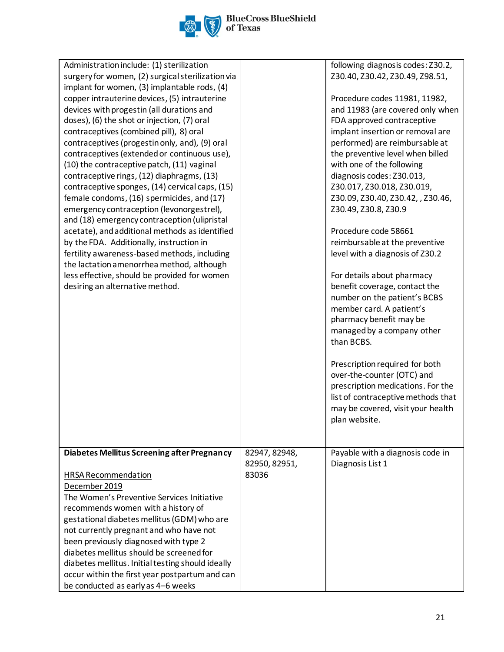

| Administration include: (1) sterilization                                                  |               | following diagnosis codes: Z30.2,  |
|--------------------------------------------------------------------------------------------|---------------|------------------------------------|
| surgery for women, (2) surgical sterilization via                                          |               | Z30.40, Z30.42, Z30.49, Z98.51,    |
| implant for women, (3) implantable rods, (4)                                               |               |                                    |
| copper intrauterine devices, (5) intrauterine                                              |               | Procedure codes 11981, 11982,      |
| devices with progestin (all durations and                                                  |               | and 11983 (are covered only when   |
| doses), (6) the shot or injection, (7) oral                                                |               | FDA approved contraceptive         |
| contraceptives (combined pill), 8) oral                                                    |               | implant insertion or removal are   |
| contraceptives (progestin only, and), (9) oral                                             |               | performed) are reimbursable at     |
| contraceptives (extended or continuous use),                                               |               | the preventive level when billed   |
| (10) the contraceptive patch, (11) vaginal                                                 |               | with one of the following          |
| contraceptive rings, (12) diaphragms, (13)                                                 |               | diagnosis codes: Z30.013,          |
| contraceptive sponges, (14) cervical caps, (15)                                            |               | Z30.017, Z30.018, Z30.019,         |
| female condoms, (16) spermicides, and (17)                                                 |               | Z30.09, Z30.40, Z30.42, , Z30.46,  |
| emergency contraception (levonorgestrel),                                                  |               | Z30.49, Z30.8, Z30.9               |
| and (18) emergency contraception (ulipristal                                               |               | Procedure code 58661               |
| acetate), and additional methods as identified<br>by the FDA. Additionally, instruction in |               | reimbursable at the preventive     |
| fertility awareness-based methods, including                                               |               | level with a diagnosis of Z30.2    |
| the lactation amenorrhea method, although                                                  |               |                                    |
| less effective, should be provided for women                                               |               | For details about pharmacy         |
| desiring an alternative method.                                                            |               | benefit coverage, contact the      |
|                                                                                            |               | number on the patient's BCBS       |
|                                                                                            |               | member card. A patient's           |
|                                                                                            |               | pharmacy benefit may be            |
|                                                                                            |               | managed by a company other         |
|                                                                                            |               | than BCBS.                         |
|                                                                                            |               |                                    |
|                                                                                            |               | Prescription required for both     |
|                                                                                            |               | over-the-counter (OTC) and         |
|                                                                                            |               | prescription medications. For the  |
|                                                                                            |               | list of contraceptive methods that |
|                                                                                            |               | may be covered, visit your health  |
|                                                                                            |               | plan website.                      |
|                                                                                            |               |                                    |
|                                                                                            |               |                                    |
| <b>Diabetes Mellitus Screening after Pregnancy</b>                                         | 82947, 82948, | Payable with a diagnosis code in   |
|                                                                                            | 82950, 82951, | Diagnosis List 1                   |
| HRSA Recommendation                                                                        | 83036         |                                    |
| December 2019                                                                              |               |                                    |
| The Women's Preventive Services Initiative                                                 |               |                                    |
| recommends women with a history of                                                         |               |                                    |
| gestational diabetes mellitus (GDM) who are                                                |               |                                    |
| not currently pregnant and who have not                                                    |               |                                    |
| been previously diagnosed with type 2                                                      |               |                                    |
| diabetes mellitus should be screened for                                                   |               |                                    |
| diabetes mellitus. Initial testing should ideally                                          |               |                                    |
| occur within the first year postpartum and can                                             |               |                                    |
| be conducted as early as 4-6 weeks                                                         |               |                                    |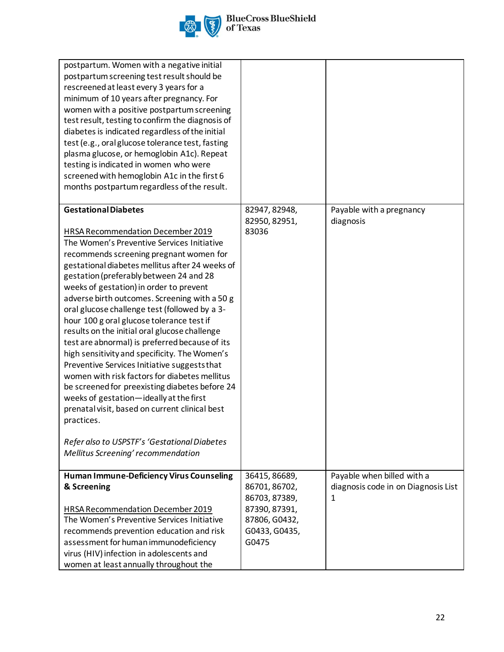

| postpartum. Women with a negative initial<br>postpartum screening test result should be<br>rescreened at least every 3 years for a<br>minimum of 10 years after pregnancy. For<br>women with a positive postpartum screening<br>test result, testing to confirm the diagnosis of<br>diabetes is indicated regardless of the initial<br>test (e.g., oral glucose tolerance test, fasting<br>plasma glucose, or hemoglobin A1c). Repeat<br>testing is indicated in women who were<br>screened with hemoglobin A1c in the first 6<br>months postpartum regardless of the result.                                                                                                                                                                                                                                                                                                                                                                             |                                                                                                             |                                                                        |
|-----------------------------------------------------------------------------------------------------------------------------------------------------------------------------------------------------------------------------------------------------------------------------------------------------------------------------------------------------------------------------------------------------------------------------------------------------------------------------------------------------------------------------------------------------------------------------------------------------------------------------------------------------------------------------------------------------------------------------------------------------------------------------------------------------------------------------------------------------------------------------------------------------------------------------------------------------------|-------------------------------------------------------------------------------------------------------------|------------------------------------------------------------------------|
| <b>Gestational Diabetes</b><br>HRSA Recommendation December 2019<br>The Women's Preventive Services Initiative<br>recommends screening pregnant women for<br>gestational diabetes mellitus after 24 weeks of<br>gestation (preferably between 24 and 28<br>weeks of gestation) in order to prevent<br>adverse birth outcomes. Screening with a 50 g<br>oral glucose challenge test (followed by a 3-<br>hour 100 g oral glucose tolerance test if<br>results on the initial oral glucose challenge<br>test are abnormal) is preferred because of its<br>high sensitivity and specificity. The Women's<br>Preventive Services Initiative suggests that<br>women with risk factors for diabetes mellitus<br>be screened for preexisting diabetes before 24<br>weeks of gestation-ideally at the first<br>prenatal visit, based on current clinical best<br>practices.<br>Refer also to USPSTF's 'Gestational Diabetes<br>Mellitus Screening' recommendation | 82947, 82948,<br>82950, 82951,<br>83036                                                                     | Payable with a pregnancy<br>diagnosis                                  |
| <b>Human Immune-Deficiency Virus Counseling</b><br>& Screening<br>HRSA Recommendation December 2019<br>The Women's Preventive Services Initiative<br>recommends prevention education and risk<br>assessment for human immunodeficiency<br>virus (HIV) infection in adolescents and<br>women at least annually throughout the                                                                                                                                                                                                                                                                                                                                                                                                                                                                                                                                                                                                                              | 36415, 86689,<br>86701, 86702,<br>86703, 87389,<br>87390, 87391,<br>87806, G0432,<br>G0433, G0435,<br>G0475 | Payable when billed with a<br>diagnosis code in on Diagnosis List<br>1 |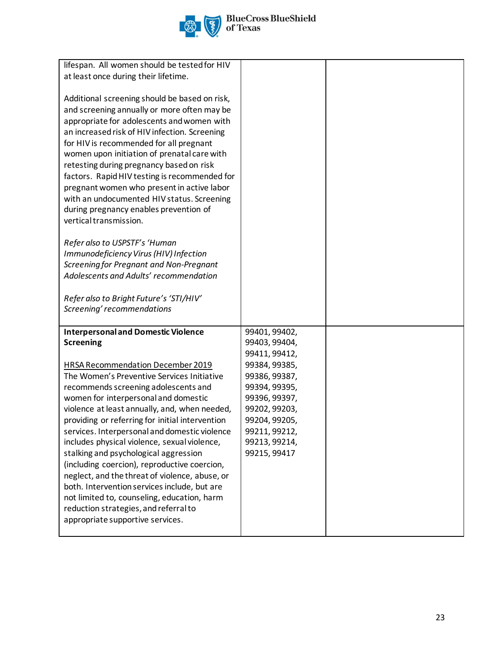# **BlueCross BlueShield**<br>of Texas

| lifespan. All women should be tested for HIV                                                  |                                |  |
|-----------------------------------------------------------------------------------------------|--------------------------------|--|
| at least once during their lifetime.                                                          |                                |  |
|                                                                                               |                                |  |
| Additional screening should be based on risk,                                                 |                                |  |
| and screening annually or more often may be                                                   |                                |  |
| appropriate for adolescents and women with                                                    |                                |  |
| an increased risk of HIV infection. Screening                                                 |                                |  |
| for HIV is recommended for all pregnant                                                       |                                |  |
| women upon initiation of prenatal care with                                                   |                                |  |
| retesting during pregnancy based on risk                                                      |                                |  |
| factors. Rapid HIV testing is recommended for                                                 |                                |  |
| pregnant women who present in active labor                                                    |                                |  |
| with an undocumented HIV status. Screening                                                    |                                |  |
| during pregnancy enables prevention of                                                        |                                |  |
| vertical transmission.                                                                        |                                |  |
|                                                                                               |                                |  |
| Refer also to USPSTF's 'Human                                                                 |                                |  |
| Immunodeficiency Virus (HIV) Infection                                                        |                                |  |
| Screening for Pregnant and Non-Pregnant                                                       |                                |  |
| Adolescents and Adults' recommendation                                                        |                                |  |
|                                                                                               |                                |  |
| Refer also to Bright Future's 'STI/HIV'                                                       |                                |  |
| Screening' recommendations                                                                    |                                |  |
|                                                                                               |                                |  |
| <b>Interpersonal and Domestic Violence</b>                                                    | 99401, 99402,                  |  |
| <b>Screening</b>                                                                              | 99403, 99404,                  |  |
|                                                                                               | 99411, 99412,                  |  |
| <b>HRSA Recommendation December 2019</b>                                                      | 99384, 99385,                  |  |
| The Women's Preventive Services Initiative                                                    | 99386, 99387,                  |  |
| recommends screening adolescents and                                                          | 99394, 99395,                  |  |
| women for interpersonal and domestic                                                          | 99396, 99397,                  |  |
| violence at least annually, and, when needed,                                                 | 99202, 99203,                  |  |
| providing or referring for initial intervention                                               | 99204, 99205,                  |  |
| services. Interpersonal and domestic violence<br>includes physical violence, sexual violence, | 99211, 99212,<br>99213, 99214, |  |
| stalking and psychological aggression                                                         | 99215, 99417                   |  |
| (including coercion), reproductive coercion,                                                  |                                |  |
| neglect, and the threat of violence, abuse, or                                                |                                |  |
| both. Intervention services include, but are                                                  |                                |  |
| not limited to, counseling, education, harm                                                   |                                |  |
| reduction strategies, and referral to                                                         |                                |  |
| appropriate supportive services.                                                              |                                |  |
|                                                                                               |                                |  |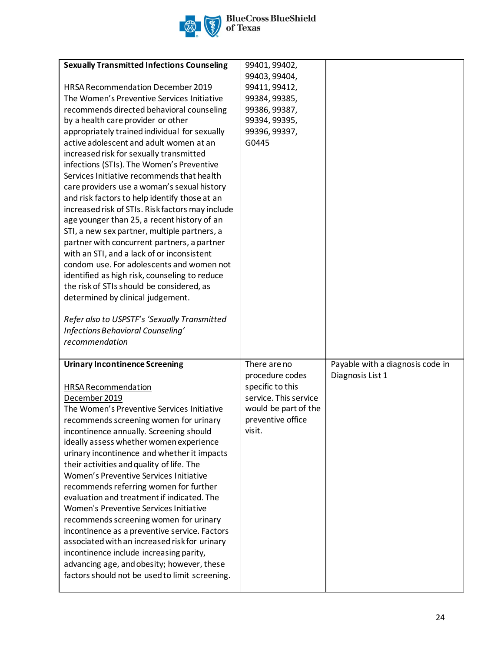

| <b>Sexually Transmitted Infections Counseling</b> | 99401, 99402,         |                                  |
|---------------------------------------------------|-----------------------|----------------------------------|
|                                                   | 99403, 99404,         |                                  |
| HRSA Recommendation December 2019                 | 99411, 99412,         |                                  |
| The Women's Preventive Services Initiative        | 99384, 99385,         |                                  |
| recommends directed behavioral counseling         | 99386, 99387,         |                                  |
| by a health care provider or other                | 99394, 99395,         |                                  |
| appropriately trained individual for sexually     | 99396, 99397,         |                                  |
| active adolescent and adult women at an           | G0445                 |                                  |
| increased risk for sexually transmitted           |                       |                                  |
| infections (STIs). The Women's Preventive         |                       |                                  |
| Services Initiative recommends that health        |                       |                                  |
| care providers use a woman's sexual history       |                       |                                  |
| and risk factors to help identify those at an     |                       |                                  |
| increased risk of STIs. Risk factors may include  |                       |                                  |
| age younger than 25, a recent history of an       |                       |                                  |
| STI, a new sex partner, multiple partners, a      |                       |                                  |
| partner with concurrent partners, a partner       |                       |                                  |
| with an STI, and a lack of or inconsistent        |                       |                                  |
| condom use. For adolescents and women not         |                       |                                  |
| identified as high risk, counseling to reduce     |                       |                                  |
| the risk of STIs should be considered, as         |                       |                                  |
| determined by clinical judgement.                 |                       |                                  |
|                                                   |                       |                                  |
| Refer also to USPSTF's 'Sexually Transmitted      |                       |                                  |
|                                                   |                       |                                  |
| Infections Behavioral Counseling'                 |                       |                                  |
| recommendation                                    |                       |                                  |
|                                                   |                       |                                  |
| <b>Urinary Incontinence Screening</b>             | There are no          | Payable with a diagnosis code in |
|                                                   | procedure codes       | Diagnosis List 1                 |
| HRSA Recommendation                               | specific to this      |                                  |
| December 2019                                     | service. This service |                                  |
| The Women's Preventive Services Initiative        | would be part of the  |                                  |
| recommends screening women for urinary            | preventive office     |                                  |
| incontinence annually. Screening should           | visit.                |                                  |
| ideally assess whether women experience           |                       |                                  |
| urinary incontinence and whether it impacts       |                       |                                  |
| their activities and quality of life. The         |                       |                                  |
| Women's Preventive Services Initiative            |                       |                                  |
| recommends referring women for further            |                       |                                  |
| evaluation and treatment if indicated. The        |                       |                                  |
| Women's Preventive Services Initiative            |                       |                                  |
| recommends screening women for urinary            |                       |                                  |
| incontinence as a preventive service. Factors     |                       |                                  |
| associated with an increased risk for urinary     |                       |                                  |
| incontinence include increasing parity,           |                       |                                  |
| advancing age, and obesity; however, these        |                       |                                  |
| factors should not be used to limit screening.    |                       |                                  |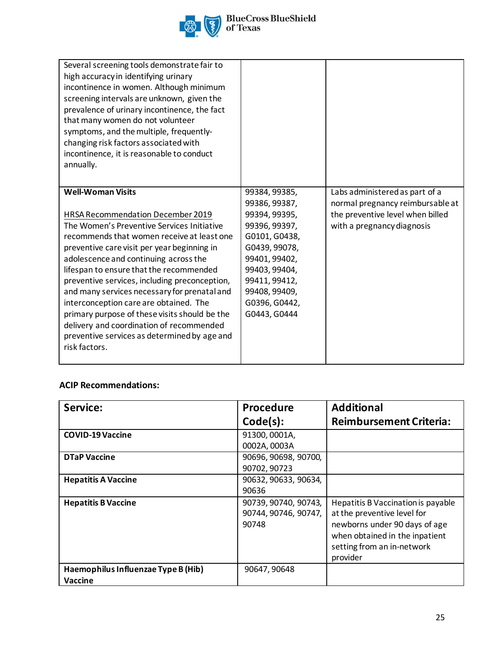

| Several screening tools demonstrate fair to<br>high accuracy in identifying urinary<br>incontinence in women. Although minimum<br>screening intervals are unknown, given the<br>prevalence of urinary incontinence, the fact<br>that many women do not volunteer<br>symptoms, and the multiple, frequently-<br>changing risk factors associated with<br>incontinence, it is reasonable to conduct<br>annually. |                                                                                                    |                                                                    |
|----------------------------------------------------------------------------------------------------------------------------------------------------------------------------------------------------------------------------------------------------------------------------------------------------------------------------------------------------------------------------------------------------------------|----------------------------------------------------------------------------------------------------|--------------------------------------------------------------------|
| <b>Well-Woman Visits</b>                                                                                                                                                                                                                                                                                                                                                                                       | 99384, 99385,<br>99386, 99387,                                                                     | Labs administered as part of a<br>normal pregnancy reimbursable at |
| <b>HRSA Recommendation December 2019</b><br>The Women's Preventive Services Initiative<br>recommends that women receive at least one<br>preventive care visit per year beginning in<br>adolescence and continuing across the<br>lifespan to ensure that the recommended                                                                                                                                        | 99394, 99395,<br>99396, 99397,<br>G0101, G0438,<br>G0439, 99078,<br>99401, 99402,<br>99403, 99404, | the preventive level when billed<br>with a pregnancy diagnosis     |
| preventive services, including preconception,<br>and many services necessary for prenatal and<br>interconception care are obtained. The<br>primary purpose of these visits should be the<br>delivery and coordination of recommended<br>preventive services as determined by age and<br>risk factors.                                                                                                          | 99411, 99412,<br>99408, 99409,<br>G0396, G0442,<br>G0443, G0444                                    |                                                                    |

## **ACIP Recommendations:**

| Service:                                              | <b>Procedure</b>                                      | <b>Additional</b>                                                                                                                                                              |
|-------------------------------------------------------|-------------------------------------------------------|--------------------------------------------------------------------------------------------------------------------------------------------------------------------------------|
|                                                       | Code(s):                                              | <b>Reimbursement Criteria:</b>                                                                                                                                                 |
| <b>COVID-19 Vaccine</b>                               | 91300, 0001A,<br>0002A, 0003A                         |                                                                                                                                                                                |
| <b>DTaP Vaccine</b>                                   | 90696, 90698, 90700,<br>90702, 90723                  |                                                                                                                                                                                |
| <b>Hepatitis A Vaccine</b>                            | 90632, 90633, 90634,<br>90636                         |                                                                                                                                                                                |
| <b>Hepatitis B Vaccine</b>                            | 90739, 90740, 90743,<br>90744, 90746, 90747,<br>90748 | Hepatitis B Vaccination is payable<br>at the preventive level for<br>newborns under 90 days of age<br>when obtained in the inpatient<br>setting from an in-network<br>provider |
| Haemophilus Influenzae Type B (Hib)<br><b>Vaccine</b> | 90647, 90648                                          |                                                                                                                                                                                |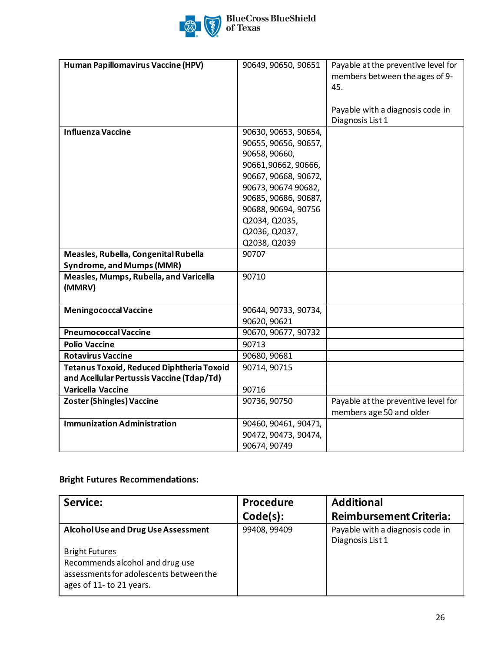

| Human Papillomavirus Vaccine (HPV)               | 90649, 90650, 90651  | Payable at the preventive level for |
|--------------------------------------------------|----------------------|-------------------------------------|
|                                                  |                      |                                     |
|                                                  |                      | members between the ages of 9-      |
|                                                  |                      | 45.                                 |
|                                                  |                      |                                     |
|                                                  |                      | Payable with a diagnosis code in    |
|                                                  |                      | Diagnosis List 1                    |
| <b>Influenza Vaccine</b>                         | 90630, 90653, 90654, |                                     |
|                                                  | 90655, 90656, 90657, |                                     |
|                                                  | 90658, 90660,        |                                     |
|                                                  | 90661,90662,90666,   |                                     |
|                                                  | 90667, 90668, 90672, |                                     |
|                                                  | 90673, 90674 90682,  |                                     |
|                                                  | 90685, 90686, 90687, |                                     |
|                                                  | 90688, 90694, 90756  |                                     |
|                                                  | Q2034, Q2035,        |                                     |
|                                                  | Q2036, Q2037,        |                                     |
|                                                  | Q2038, Q2039         |                                     |
| Measles, Rubella, Congenital Rubella             | 90707                |                                     |
| <b>Syndrome, and Mumps (MMR)</b>                 |                      |                                     |
| Measles, Mumps, Rubella, and Varicella           | 90710                |                                     |
| (MMRV)                                           |                      |                                     |
|                                                  |                      |                                     |
| <b>Meningococcal Vaccine</b>                     | 90644, 90733, 90734, |                                     |
|                                                  | 90620, 90621         |                                     |
| <b>Pneumococcal Vaccine</b>                      | 90670, 90677, 90732  |                                     |
| <b>Polio Vaccine</b>                             | 90713                |                                     |
| <b>Rotavirus Vaccine</b>                         | 90680, 90681         |                                     |
| <b>Tetanus Toxoid, Reduced Diphtheria Toxoid</b> | 90714, 90715         |                                     |
| and Acellular Pertussis Vaccine (Tdap/Td)        |                      |                                     |
| <b>Varicella Vaccine</b>                         | 90716                |                                     |
| <b>Zoster (Shingles) Vaccine</b>                 | 90736, 90750         | Payable at the preventive level for |
|                                                  |                      | members age 50 and older            |
| <b>Immunization Administration</b>               | 90460, 90461, 90471, |                                     |
|                                                  | 90472, 90473, 90474, |                                     |
|                                                  | 90674, 90749         |                                     |

## **Bright Futures Recommendations:**

| Service:                                                                                                                        | Procedure    | <b>Additional</b>                                    |
|---------------------------------------------------------------------------------------------------------------------------------|--------------|------------------------------------------------------|
|                                                                                                                                 | Code(s):     | <b>Reimbursement Criteria:</b>                       |
| Alcohol Use and Drug Use Assessment                                                                                             | 99408, 99409 | Payable with a diagnosis code in<br>Diagnosis List 1 |
| <b>Bright Futures</b><br>Recommends alcohol and drug use<br>assessments for adolescents between the<br>ages of 11- to 21 years. |              |                                                      |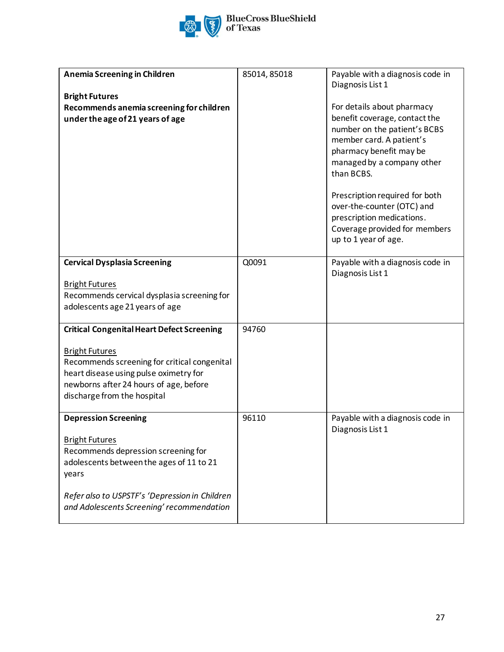

| Anemia Screening in Children<br><b>Bright Futures</b><br>Recommends anemia screening for children<br>under the age of 21 years of age                                                                                                           | 85014, 85018 | Payable with a diagnosis code in<br>Diagnosis List 1<br>For details about pharmacy<br>benefit coverage, contact the<br>number on the patient's BCBS<br>member card. A patient's<br>pharmacy benefit may be<br>managed by a company other<br>than BCBS.<br>Prescription required for both<br>over-the-counter (OTC) and<br>prescription medications.<br>Coverage provided for members<br>up to 1 year of age. |
|-------------------------------------------------------------------------------------------------------------------------------------------------------------------------------------------------------------------------------------------------|--------------|--------------------------------------------------------------------------------------------------------------------------------------------------------------------------------------------------------------------------------------------------------------------------------------------------------------------------------------------------------------------------------------------------------------|
| <b>Cervical Dysplasia Screening</b><br><b>Bright Futures</b><br>Recommends cervical dysplasia screening for<br>adolescents age 21 years of age                                                                                                  | Q0091        | Payable with a diagnosis code in<br>Diagnosis List 1                                                                                                                                                                                                                                                                                                                                                         |
| <b>Critical Congenital Heart Defect Screening</b><br><b>Bright Futures</b><br>Recommends screening for critical congenital<br>heart disease using pulse oximetry for<br>newborns after 24 hours of age, before<br>discharge from the hospital   | 94760        |                                                                                                                                                                                                                                                                                                                                                                                                              |
| <b>Depression Screening</b><br><b>Bright Futures</b><br>Recommends depression screening for<br>adolescents between the ages of 11 to 21<br>years<br>Refer also to USPSTF's 'Depression in Children<br>and Adolescents Screening' recommendation | 96110        | Payable with a diagnosis code in<br>Diagnosis List 1                                                                                                                                                                                                                                                                                                                                                         |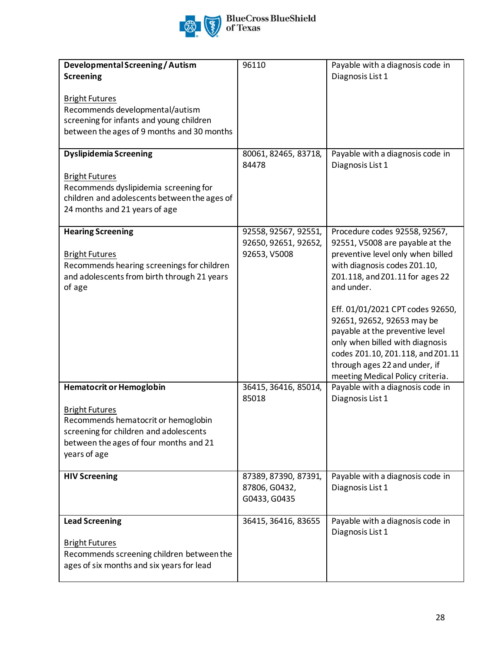

| Developmental Screening / Autism<br><b>Screening</b><br><b>Bright Futures</b><br>Recommends developmental/autism<br>screening for infants and young children<br>between the ages of 9 months and 30 months<br><b>Dyslipidemia Screening</b><br><b>Bright Futures</b><br>Recommends dyslipidemia screening for<br>children and adolescents between the ages of<br>24 months and 21 years of age | 96110<br>80061, 82465, 83718,<br>84478                       | Payable with a diagnosis code in<br>Diagnosis List 1<br>Payable with a diagnosis code in<br>Diagnosis List 1                                                                                                                                                                                                                                                                                                                             |
|------------------------------------------------------------------------------------------------------------------------------------------------------------------------------------------------------------------------------------------------------------------------------------------------------------------------------------------------------------------------------------------------|--------------------------------------------------------------|------------------------------------------------------------------------------------------------------------------------------------------------------------------------------------------------------------------------------------------------------------------------------------------------------------------------------------------------------------------------------------------------------------------------------------------|
| <b>Hearing Screening</b><br><b>Bright Futures</b><br>Recommends hearing screenings for children<br>and adolescents from birth through 21 years<br>of age                                                                                                                                                                                                                                       | 92558, 92567, 92551,<br>92650, 92651, 92652,<br>92653, V5008 | Procedure codes 92558, 92567,<br>92551, V5008 are payable at the<br>preventive level only when billed<br>with diagnosis codes Z01.10,<br>Z01.118, and Z01.11 for ages 22<br>and under.<br>Eff. 01/01/2021 CPT codes 92650,<br>92651, 92652, 92653 may be<br>payable at the preventive level<br>only when billed with diagnosis<br>codes Z01.10, Z01.118, and Z01.11<br>through ages 22 and under, if<br>meeting Medical Policy criteria. |
| <b>Hematocrit or Hemoglobin</b><br><b>Bright Futures</b><br>Recommends hematocrit or hemoglobin<br>screening for children and adolescents<br>between the ages of four months and 21<br>years of age                                                                                                                                                                                            | 36415, 36416, 85014,<br>85018                                | Payable with a diagnosis code in<br>Diagnosis List 1                                                                                                                                                                                                                                                                                                                                                                                     |
| <b>HIV Screening</b>                                                                                                                                                                                                                                                                                                                                                                           | 87389, 87390, 87391,<br>87806, G0432,<br>G0433, G0435        | Payable with a diagnosis code in<br>Diagnosis List 1                                                                                                                                                                                                                                                                                                                                                                                     |
| <b>Lead Screening</b><br><b>Bright Futures</b><br>Recommends screening children between the<br>ages of six months and six years for lead                                                                                                                                                                                                                                                       | 36415, 36416, 83655                                          | Payable with a diagnosis code in<br>Diagnosis List 1                                                                                                                                                                                                                                                                                                                                                                                     |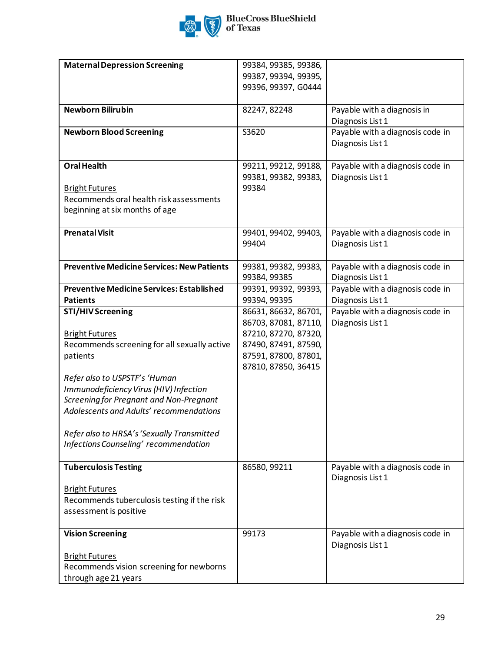

| <b>Maternal Depression Screening</b>              | 99384, 99385, 99386, |                                  |
|---------------------------------------------------|----------------------|----------------------------------|
|                                                   | 99387, 99394, 99395, |                                  |
|                                                   | 99396, 99397, G0444  |                                  |
|                                                   |                      |                                  |
| <b>Newborn Bilirubin</b>                          | 82247, 82248         | Payable with a diagnosis in      |
|                                                   |                      | Diagnosis List 1                 |
| <b>Newborn Blood Screening</b>                    | S3620                | Payable with a diagnosis code in |
|                                                   |                      | Diagnosis List 1                 |
|                                                   |                      |                                  |
|                                                   |                      |                                  |
| <b>Oral Health</b>                                | 99211, 99212, 99188, | Payable with a diagnosis code in |
|                                                   | 99381, 99382, 99383, | Diagnosis List 1                 |
| <b>Bright Futures</b>                             | 99384                |                                  |
| Recommends oral health risk assessments           |                      |                                  |
| beginning at six months of age                    |                      |                                  |
|                                                   |                      |                                  |
| <b>Prenatal Visit</b>                             | 99401, 99402, 99403, | Payable with a diagnosis code in |
|                                                   | 99404                | Diagnosis List 1                 |
|                                                   |                      |                                  |
| <b>Preventive Medicine Services: New Patients</b> | 99381, 99382, 99383, | Payable with a diagnosis code in |
|                                                   |                      |                                  |
|                                                   | 99384, 99385         | Diagnosis List 1                 |
| <b>Preventive Medicine Services: Established</b>  | 99391, 99392, 99393, | Payable with a diagnosis code in |
| <b>Patients</b>                                   | 99394, 99395         | Diagnosis List 1                 |
| <b>STI/HIV Screening</b>                          | 86631, 86632, 86701, | Payable with a diagnosis code in |
|                                                   | 86703, 87081, 87110, | Diagnosis List 1                 |
| <b>Bright Futures</b>                             | 87210, 87270, 87320, |                                  |
| Recommends screening for all sexually active      | 87490, 87491, 87590, |                                  |
| patients                                          | 87591, 87800, 87801, |                                  |
|                                                   | 87810, 87850, 36415  |                                  |
| Refer also to USPSTF's 'Human                     |                      |                                  |
| Immunodeficiency Virus (HIV) Infection            |                      |                                  |
| Screening for Pregnant and Non-Pregnant           |                      |                                  |
|                                                   |                      |                                  |
| Adolescents and Adults' recommendations           |                      |                                  |
|                                                   |                      |                                  |
| Refer also to HRSA's 'Sexually Transmitted        |                      |                                  |
| Infections Counseling' recommendation             |                      |                                  |
|                                                   |                      |                                  |
| <b>Tuberculosis Testing</b>                       | 86580, 99211         | Payable with a diagnosis code in |
|                                                   |                      | Diagnosis List 1                 |
| <b>Bright Futures</b>                             |                      |                                  |
| Recommends tuberculosis testing if the risk       |                      |                                  |
| assessment is positive                            |                      |                                  |
|                                                   |                      |                                  |
| <b>Vision Screening</b>                           | 99173                | Payable with a diagnosis code in |
|                                                   |                      | Diagnosis List 1                 |
|                                                   |                      |                                  |
| <b>Bright Futures</b>                             |                      |                                  |
| Recommends vision screening for newborns          |                      |                                  |
| through age 21 years                              |                      |                                  |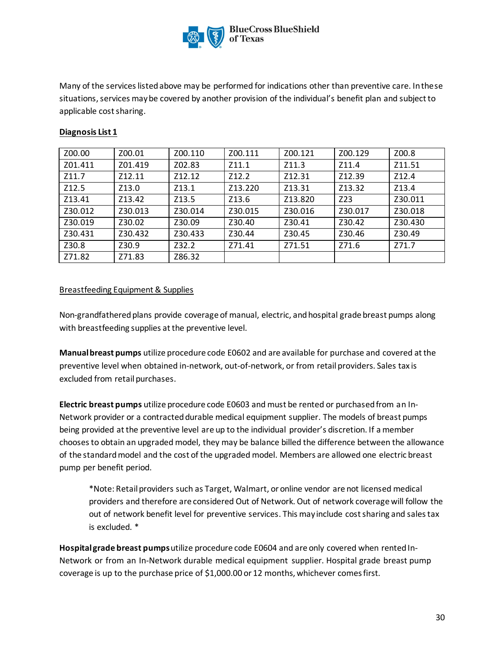

Many of the services listed above may be performed for indications other than preventive care. In these situations, services may be covered by another provision of the individual's benefit plan and subject to applicable cost sharing.

| Z00.00  | Z00.01  | Z00.110 | Z00.111           | Z00.121 | Z00.129 | Z00.8   |
|---------|---------|---------|-------------------|---------|---------|---------|
| Z01.411 | Z01.419 | Z02.83  | Z11.1             | Z11.3   | Z11.4   | Z11.51  |
| Z11.7   | Z12.11  | Z12.12  | Z <sub>12.2</sub> | Z12.31  | Z12.39  | Z12.4   |
| Z12.5   | Z13.0   | Z13.1   | Z13.220           | Z13.31  | Z13.32  | Z13.4   |
| Z13.41  | Z13.42  | Z13.5   | Z13.6             | Z13.820 | Z23     | Z30.011 |
| Z30.012 | Z30.013 | Z30.014 | Z30.015           | Z30.016 | Z30.017 | Z30.018 |
| Z30.019 | Z30.02  | Z30.09  | Z30.40            | Z30.41  | Z30.42  | Z30.430 |
| Z30.431 | Z30.432 | Z30.433 | Z30.44            | Z30.45  | Z30.46  | Z30.49  |
| Z30.8   | Z30.9   | Z32.2   | Z71.41            | Z71.51  | Z71.6   | Z71.7   |
| Z71.82  | Z71.83  | Z86.32  |                   |         |         |         |
|         |         |         |                   |         |         |         |

## **Diagnosis List 1**

## Breastfeeding Equipment & Supplies

Non-grandfathered plans provide coverage of manual, electric, and hospital grade breast pumps along with breastfeeding supplies at the preventive level.

**Manual breast pumps** utilize procedure code E0602 and are available for purchase and covered at the preventive level when obtained in-network, out-of-network, or from retail providers. Sales tax is excluded from retail purchases.

**Electric breast pumps** utilize procedure code E0603 and must be rented or purchased from an In-Network provider or a contracted durable medical equipment supplier. The models of breast pumps being provided at the preventive level are up to the individual provider's discretion. If a member chooses to obtain an upgraded model, they may be balance billed the difference between the allowance of the standard model and the cost of the upgraded model. Members are allowed one electric breast pump per benefit period.

\*Note: Retail providers such as Target, Walmart, or online vendor are not licensed medical providers and therefore are considered Out of Network. Out of network coverage will follow the out of network benefit level for preventive services. This may include cost sharing and sales tax is excluded. \*

**Hospitalgrade breast pumps**utilize procedure code E0604 and are only covered when rentedIn-Network or from an In-Network durable medical equipment supplier. Hospital grade breast pump coverage is up to the purchase price of \$1,000.00 or 12 months, whichever comes first.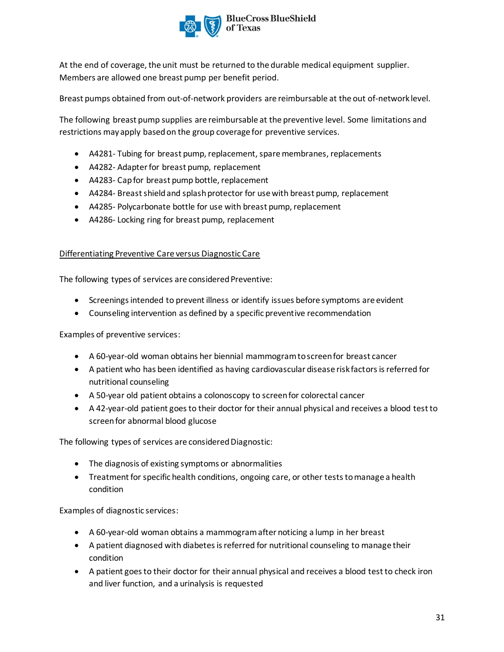

At the end of coverage, the unit must be returned to the durable medical equipment supplier. Members are allowed one breast pump per benefit period.

Breast pumps obtained from out-of-network providers are reimbursable at the out of-network level.

The following breast pump supplies are reimbursable at the preventive level. Some limitations and restrictions may apply based on the group coverage for preventive services.

- A4281- Tubing for breast pump, replacement, spare membranes, replacements
- A4282- Adapter for breast pump, replacement
- A4283- Cap for breast pump bottle, replacement
- A4284- Breast shield and splash protector for use with breast pump, replacement
- A4285- Polycarbonate bottle for use with breast pump, replacement
- A4286- Locking ring for breast pump, replacement

## Differentiating Preventive Care versus Diagnostic Care

The following types of services are considered Preventive:

- Screenings intended to prevent illness or identify issues before symptoms are evident
- Counseling intervention as defined by a specific preventive recommendation

Examples of preventive services:

- A 60-year-old woman obtains her biennial mammogram to screen for breast cancer
- A patient who has been identified as having cardiovascular disease risk factors is referred for nutritional counseling
- A 50-year old patient obtains a colonoscopy to screen for colorectal cancer
- A 42-year-old patient goes to their doctor for their annual physical and receives a blood test to screen for abnormal blood glucose

The following types of services are considered Diagnostic:

- The diagnosis of existing symptoms or abnormalities
- Treatment for specific health conditions, ongoing care, or other tests to manage a health condition

Examples of diagnostic services:

- A 60-year-old woman obtains a mammogram after noticing a lump in her breast
- A patient diagnosed with diabetes is referred for nutritional counseling to manage their condition
- A patient goes to their doctor for their annual physical and receives a blood test to check iron and liver function, and a urinalysis is requested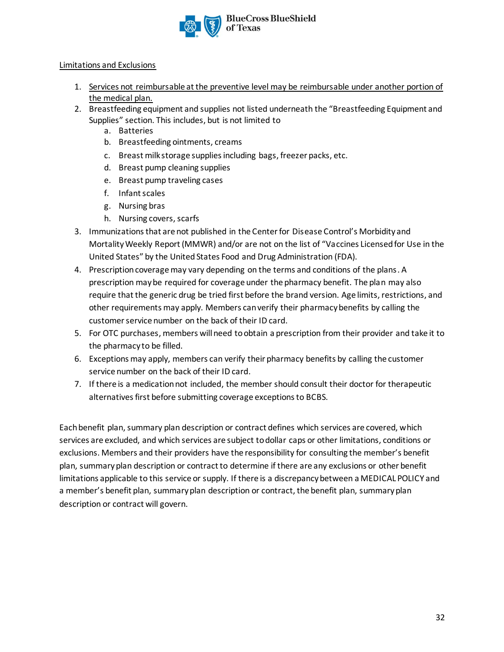

## Limitations and Exclusions

- 1. Services not reimbursable at the preventive level may be reimbursable under another portion of the medical plan.
- 2. Breastfeeding equipment and supplies not listed underneath the "Breastfeeding Equipment and Supplies" section. This includes, but is not limited to
	- a. Batteries
	- b. Breastfeeding ointments, creams
	- c. Breast milk storage supplies including bags, freezer packs, etc.
	- d. Breast pump cleaning supplies
	- e. Breast pump traveling cases
	- f. Infant scales
	- g. Nursing bras
	- h. Nursing covers, scarfs
- 3. Immunizations that are not published in the Center for Disease Control's Morbidity and Mortality Weekly Report (MMWR) and/or are not on the list of "Vaccines Licensed for Use in the United States" by the United States Food and Drug Administration (FDA).
- 4. Prescription coverage may vary depending on the terms and conditions of the plans. A prescription may be required for coverage under the pharmacy benefit. The plan may also require that the generic drug be tried first before the brand version. Age limits, restrictions, and other requirements may apply. Members can verify their pharmacy benefits by calling the customer service number on the back of their ID card.
- 5. For OTC purchases, members will need to obtain a prescription from their provider and take it to the pharmacy to be filled.
- 6. Exceptions may apply, members can verify their pharmacy benefits by calling the customer service number on the back of their ID card.
- 7. If there is a medication not included, the member should consult their doctor for therapeutic alternatives first before submitting coverage exceptions to BCBS.

Each benefit plan, summary plan description or contract defines which services are covered, which services are excluded, and which services are subject to dollar caps or other limitations, conditions or exclusions. Members and their providers have the responsibility for consulting the member's benefit plan, summary plan description or contract to determine if there are any exclusions or other benefit limitations applicable to this service or supply. If there is a discrepancy between a MEDICAL POLICY and a member's benefit plan, summary plan description or contract, the benefit plan, summary plan description or contract will govern.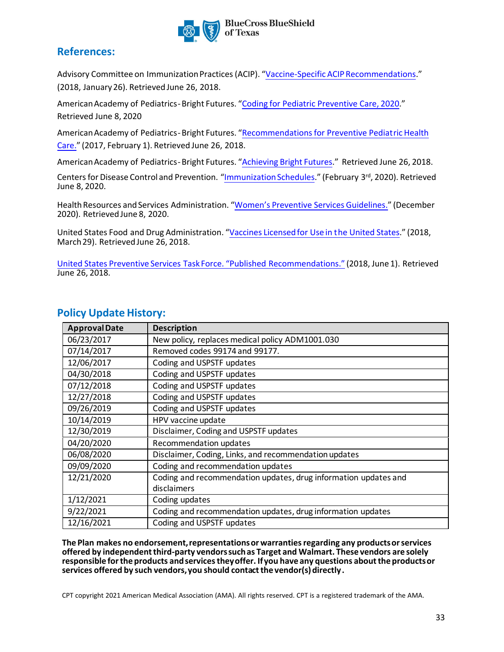

## **References:**

Advisory Committee on Immunization Practices (ACIP). "[Vaccine-Specific ACIP Recommendations](https://www.cdc.gov/vaccines/hcp/acip-recs/index.html)." (2018, January 26). Retrieved June 26, 2018.

American Academy of Pediatrics- Bright Futures. ["Coding for Pediatric Preventive Care, 2020](https://www.aap.org/en-us/Documents/coding_preventive_care.pdf)." Retrieved June 8, 2020

[American Academy of Pediatrics- Bright Futures. "Recommendations for Preventive Pediatric Health](https://www.aap.org/en-us/Documents/periodicity_schedule.pdf) Care." (2017, February 1). Retrieved June 26, 2018.

American Academy of Pediatrics- Bright Futures. ["Achieving Bright Futures.](https://www.aap.org/en-us/Documents/practicet_periodicity_AllVisits.pdf)" Retrieved June 26, 2018.

Centers for Disease Control and Prevention. "[Immunization Schedules](https://www.cdc.gov/vaccines/schedules/index.html)." (February 3rd, 2020). Retrieved June 8, 2020.

Health Resources and Services Administration. "[Women's Preventive Services Guidelines.](https://www.hrsa.gov/womens-guidelines-2019)" (December 2020). Retrieved June 8, 2020.

United States Food and Drug Administration. "[Vaccines Licensed for Use in the United States.](https://www.fda.gov/BiologicsBloodVaccines/Vaccines/ApprovedProducts/UCM093833)" (2018, March 29). Retrieved June 26, 2018.

[United States Preventive Services Task Force. "Published Recommendations."](https://www.uspreventiveservicestaskforce.org/BrowseRec/Index/browse-recommendations) (2018, June 1). Retrieved June 26, 2018.

| <b>Approval Date</b> | <b>Description</b>                                              |
|----------------------|-----------------------------------------------------------------|
| 06/23/2017           | New policy, replaces medical policy ADM1001.030                 |
| 07/14/2017           | Removed codes 99174 and 99177.                                  |
| 12/06/2017           | Coding and USPSTF updates                                       |
| 04/30/2018           | Coding and USPSTF updates                                       |
| 07/12/2018           | Coding and USPSTF updates                                       |
| 12/27/2018           | Coding and USPSTF updates                                       |
| 09/26/2019           | Coding and USPSTF updates                                       |
| 10/14/2019           | HPV vaccine update                                              |
| 12/30/2019           | Disclaimer, Coding and USPSTF updates                           |
| 04/20/2020           | Recommendation updates                                          |
| 06/08/2020           | Disclaimer, Coding, Links, and recommendation updates           |
| 09/09/2020           | Coding and recommendation updates                               |
| 12/21/2020           | Coding and recommendation updates, drug information updates and |
|                      | disclaimers                                                     |
| 1/12/2021            | Coding updates                                                  |
| 9/22/2021            | Coding and recommendation updates, drug information updates     |
| 12/16/2021           | Coding and USPSTF updates                                       |

# **Policy Update History:**

**The Plan makes no endorsement, representations or warranties regarding any products or services offered by independent third-party vendors such as Target and Walmart. These vendors are solely responsible for the products and services they offer. If you have any questions about the products or services offered by such vendors, you should contact the vendor(s) directly.** 

CPT copyright 2021 American Medical Association (AMA). All rights reserved. CPT is a registered trademark of the AMA.